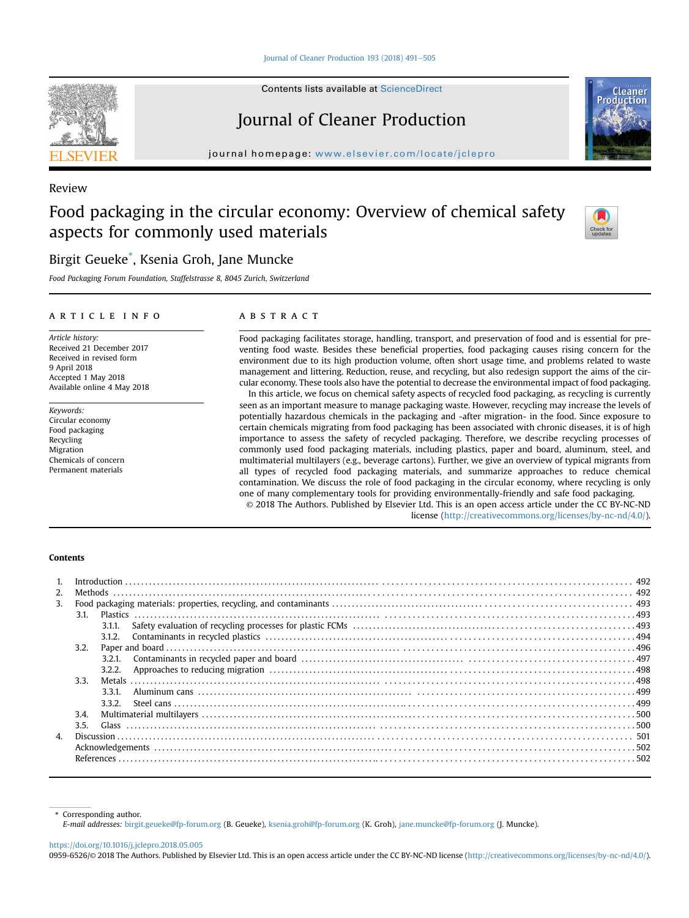#### [Journal of Cleaner Production 193 \(2018\) 491](https://doi.org/10.1016/j.jclepro.2018.05.005)-[505](https://doi.org/10.1016/j.jclepro.2018.05.005)

Contents lists available at ScienceDirect

# Journal of Cleaner Production

journal homepage: [www.elsevier.com/locate/jclepro](http://www.elsevier.com/locate/jclepro)

# Review

# Food packaging in the circular economy: Overview of chemical safety aspects for commonly used materials

# Birgit Geueke\* , Ksenia Groh, Jane Muncke

Food Packaging Forum Foundation, Staffelstrasse 8, 8045 Zurich, Switzerland

#### article info

Article history: Received 21 December 2017 Received in revised form 9 April 2018 Accepted 1 May 2018 Available online 4 May 2018

Keywords: Circular economy Food packaging Recycling Migration Chemicals of concern Permanent materials

#### **ABSTRACT**

Food packaging facilitates storage, handling, transport, and preservation of food and is essential for preventing food waste. Besides these beneficial properties, food packaging causes rising concern for the environment due to its high production volume, often short usage time, and problems related to waste management and littering. Reduction, reuse, and recycling, but also redesign support the aims of the circular economy. These tools also have the potential to decrease the environmental impact of food packaging.

In this article, we focus on chemical safety aspects of recycled food packaging, as recycling is currently seen as an important measure to manage packaging waste. However, recycling may increase the levels of potentially hazardous chemicals in the packaging and -after migration- in the food. Since exposure to certain chemicals migrating from food packaging has been associated with chronic diseases, it is of high importance to assess the safety of recycled packaging. Therefore, we describe recycling processes of commonly used food packaging materials, including plastics, paper and board, aluminum, steel, and multimaterial multilayers (e.g., beverage cartons). Further, we give an overview of typical migrants from all types of recycled food packaging materials, and summarize approaches to reduce chemical contamination. We discuss the role of food packaging in the circular economy, where recycling is only one of many complementary tools for providing environmentally-friendly and safe food packaging.

© 2018 The Authors. Published by Elsevier Ltd. This is an open access article under the CC BY-NC-ND license [\(http://creativecommons.org/licenses/by-nc-nd/4.0/](http://creativecommons.org/licenses/by-nc-nd/4.0/)).

#### Contents

| 2.           |      |        |  |  |
|--------------|------|--------|--|--|
| 3.           |      |        |  |  |
|              | 3.1. |        |  |  |
|              |      | 3.1.1. |  |  |
|              |      | 3.1.2. |  |  |
|              | 3.2. |        |  |  |
|              |      | 3.2.1. |  |  |
|              |      | 3.2.2. |  |  |
|              | 3.3. |        |  |  |
|              |      | 3.3.1. |  |  |
|              |      | 3.3.2  |  |  |
| 3.4.         |      |        |  |  |
|              | 3.5. |        |  |  |
| $\mathbf{A}$ |      |        |  |  |
|              |      |        |  |  |
|              |      |        |  |  |

Corresponding author.

E-mail addresses: [birgit.geueke@fp-forum.org](mailto:birgit.geueke@fp-forum.org) (B. Geueke), [ksenia.groh@fp-forum.org](mailto:ksenia.groh@fp-forum.org) (K. Groh), [jane.muncke@fp-forum.org](mailto:jane.muncke@fp-forum.org) (J. Muncke).

<https://doi.org/10.1016/j.jclepro.2018.05.005>

0959-6526/© 2018 The Authors. Published by Elsevier Ltd. This is an open access article under the CC BY-NC-ND license ([http://creativecommons.org/licenses/by-nc-nd/4.0/\)](http://creativecommons.org/licenses/by-nc-nd/4.0/).





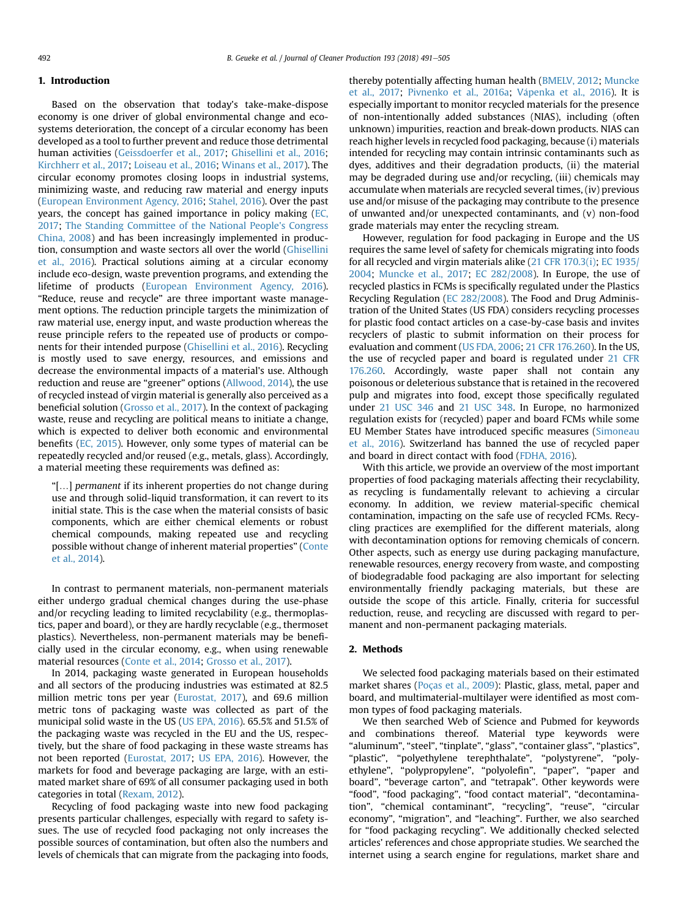#### 1. Introduction

Based on the observation that today's take-make-dispose economy is one driver of global environmental change and ecosystems deterioration, the concept of a circular economy has been developed as a tool to further prevent and reduce those detrimental human activities [\(Geissdoerfer et al., 2017](#page-12-0); [Ghisellini et al., 2016](#page-12-0); [Kirchherr et al., 2017;](#page-13-0) [Loiseau et al., 2016;](#page-13-0) [Winans et al., 2017\)](#page-14-0). The circular economy promotes closing loops in industrial systems, minimizing waste, and reducing raw material and energy inputs ([European Environment Agency, 2016](#page-12-0); [Stahel, 2016\)](#page-14-0). Over the past years, the concept has gained importance in policy making [\(EC,](#page-12-0) [2017;](#page-12-0) [The Standing Committee of the National People's Congress](#page-14-0) [China, 2008\)](#page-14-0) and has been increasingly implemented in production, consumption and waste sectors all over the world [\(Ghisellini](#page-12-0) [et al., 2016](#page-12-0)). Practical solutions aiming at a circular economy include eco-design, waste prevention programs, and extending the lifetime of products ([European Environment Agency, 2016\)](#page-12-0). "Reduce, reuse and recycle" are three important waste management options. The reduction principle targets the minimization of raw material use, energy input, and waste production whereas the reuse principle refers to the repeated use of products or components for their intended purpose [\(Ghisellini et al., 2016\)](#page-12-0). Recycling is mostly used to save energy, resources, and emissions and decrease the environmental impacts of a material's use. Although reduction and reuse are "greener" options ([Allwood, 2014\)](#page-11-0), the use of recycled instead of virgin material is generally also perceived as a beneficial solution [\(Grosso et al., 2017\)](#page-12-0). In the context of packaging waste, reuse and recycling are political means to initiate a change, which is expected to deliver both economic and environmental benefits ([EC, 2015\)](#page-12-0). However, only some types of material can be repeatedly recycled and/or reused (e.g., metals, glass). Accordingly, a material meeting these requirements was defined as:

"[…] permanent if its inherent properties do not change during use and through solid-liquid transformation, it can revert to its initial state. This is the case when the material consists of basic components, which are either chemical elements or robust chemical compounds, making repeated use and recycling possible without change of inherent material properties" [\(Conte](#page-12-0) [et al., 2014\)](#page-12-0).

In contrast to permanent materials, non-permanent materials either undergo gradual chemical changes during the use-phase and/or recycling leading to limited recyclability (e.g., thermoplastics, paper and board), or they are hardly recyclable (e.g., thermoset plastics). Nevertheless, non-permanent materials may be beneficially used in the circular economy, e.g., when using renewable material resources [\(Conte et al., 2014](#page-12-0); [Grosso et al., 2017](#page-12-0)).

In 2014, packaging waste generated in European households and all sectors of the producing industries was estimated at 82.5 million metric tons per year ([Eurostat, 2017](#page-12-0)), and 69.6 million metric tons of packaging waste was collected as part of the municipal solid waste in the US ([US EPA, 2016\)](#page-14-0). 65.5% and 51.5% of the packaging waste was recycled in the EU and the US, respectively, but the share of food packaging in these waste streams has not been reported [\(Eurostat, 2017](#page-12-0); [US EPA, 2016\)](#page-14-0). However, the markets for food and beverage packaging are large, with an estimated market share of 69% of all consumer packaging used in both categories in total ([Rexam, 2012](#page-13-0)).

Recycling of food packaging waste into new food packaging presents particular challenges, especially with regard to safety issues. The use of recycled food packaging not only increases the possible sources of contamination, but often also the numbers and levels of chemicals that can migrate from the packaging into foods, thereby potentially affecting human health ([BMELV, 2012;](#page-11-0) [Muncke](#page-13-0) [et al., 2017;](#page-13-0) [Pivnenko et al., 2016a](#page-13-0); [V](#page-14-0) a[penka et al., 2016](#page-14-0)). It is especially important to monitor recycled materials for the presence of non-intentionally added substances (NIAS), including (often unknown) impurities, reaction and break-down products. NIAS can reach higher levels in recycled food packaging, because (i) materials intended for recycling may contain intrinsic contaminants such as dyes, additives and their degradation products, (ii) the material may be degraded during use and/or recycling, (iii) chemicals may accumulate when materials are recycled several times, (iv) previous use and/or misuse of the packaging may contribute to the presence of unwanted and/or unexpected contaminants, and (v) non-food grade materials may enter the recycling stream.

However, regulation for food packaging in Europe and the US requires the same level of safety for chemicals migrating into foods for all recycled and virgin materials alike [\(21 CFR 170.3\(i\)](#page-11-0); [EC 1935/](#page-12-0) [2004](#page-12-0); [Muncke et al., 2017;](#page-13-0) [EC 282/2008\)](#page-12-0). In Europe, the use of recycled plastics in FCMs is specifically regulated under the Plastics Recycling Regulation [\(EC 282/2008\)](#page-12-0). The Food and Drug Administration of the United States (US FDA) considers recycling processes for plastic food contact articles on a case-by-case basis and invites recyclers of plastic to submit information on their process for evaluation and comment ([US FDA, 2006](#page-14-0); [21 CFR 176.260\)](#page-11-0). In the US, the use of recycled paper and board is regulated under [21 CFR](#page-11-0) [176.260](#page-11-0). Accordingly, waste paper shall not contain any poisonous or deleterious substance that is retained in the recovered pulp and migrates into food, except those specifically regulated under [21 USC 346](#page-11-0) and [21 USC 348.](#page-11-0) In Europe, no harmonized regulation exists for (recycled) paper and board FCMs while some EU Member States have introduced specific measures [\(Simoneau](#page-14-0) [et al., 2016](#page-14-0)). Switzerland has banned the use of recycled paper and board in direct contact with food ([FDHA, 2016\)](#page-12-0).

With this article, we provide an overview of the most important properties of food packaging materials affecting their recyclability, as recycling is fundamentally relevant to achieving a circular economy. In addition, we review material-specific chemical contamination, impacting on the safe use of recycled FCMs. Recycling practices are exemplified for the different materials, along with decontamination options for removing chemicals of concern. Other aspects, such as energy use during packaging manufacture, renewable resources, energy recovery from waste, and composting of biodegradable food packaging are also important for selecting environmentally friendly packaging materials, but these are outside the scope of this article. Finally, criteria for successful reduction, reuse, and recycling are discussed with regard to permanent and non-permanent packaging materials.

### 2. Methods

We selected food packaging materials based on their estimated market shares [\(Poças et al., 2009\)](#page-13-0): Plastic, glass, metal, paper and board, and multimaterial-multilayer were identified as most common types of food packaging materials.

We then searched Web of Science and Pubmed for keywords and combinations thereof. Material type keywords were "aluminum", "steel", "tinplate", "glass", "container glass", "plastics", "plastic", "polyethylene terephthalate", "polystyrene", "polyethylene", "polypropylene", "polyolefin", "paper", "paper and board", "beverage carton", and "tetrapak". Other keywords were "food", "food packaging", "food contact material", "decontamination", "chemical contaminant", "recycling", "reuse", "circular economy", "migration", and "leaching". Further, we also searched for "food packaging recycling". We additionally checked selected articles' references and chose appropriate studies. We searched the internet using a search engine for regulations, market share and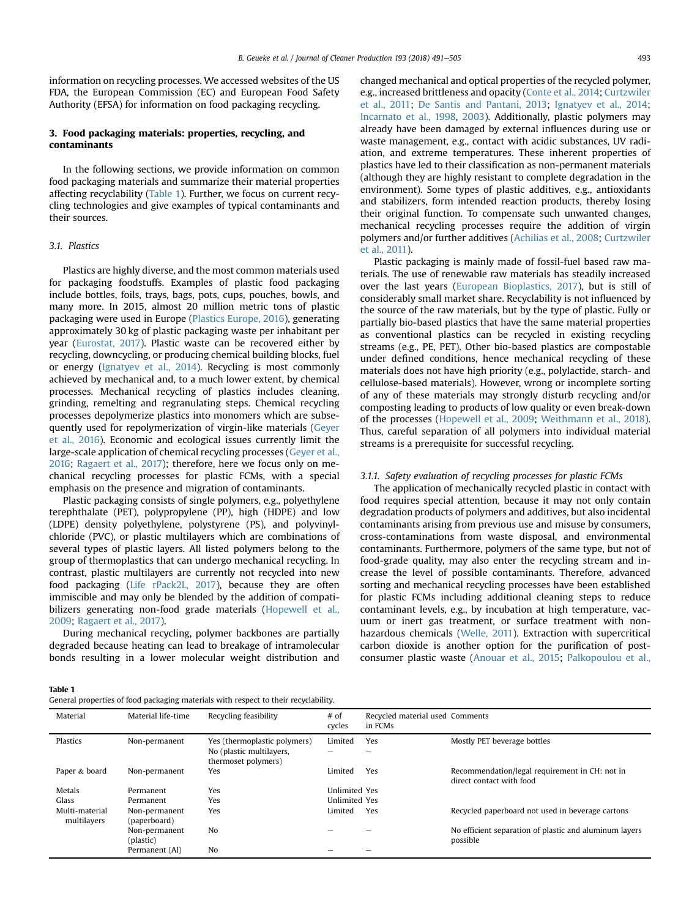information on recycling processes. We accessed websites of the US FDA, the European Commission (EC) and European Food Safety Authority (EFSA) for information on food packaging recycling.

#### 3. Food packaging materials: properties, recycling, and contaminants

In the following sections, we provide information on common food packaging materials and summarize their material properties affecting recyclability (Table 1). Further, we focus on current recycling technologies and give examples of typical contaminants and their sources.

## 3.1. Plastics

Plastics are highly diverse, and the most common materials used for packaging foodstuffs. Examples of plastic food packaging include bottles, foils, trays, bags, pots, cups, pouches, bowls, and many more. In 2015, almost 20 million metric tons of plastic packaging were used in Europe [\(Plastics Europe, 2016\)](#page-13-0), generating approximately 30 kg of plastic packaging waste per inhabitant per year [\(Eurostat, 2017\)](#page-12-0). Plastic waste can be recovered either by recycling, downcycling, or producing chemical building blocks, fuel or energy [\(Ignatyev et al., 2014](#page-12-0)). Recycling is most commonly achieved by mechanical and, to a much lower extent, by chemical processes. Mechanical recycling of plastics includes cleaning, grinding, remelting and regranulating steps. Chemical recycling processes depolymerize plastics into monomers which are subsequently used for repolymerization of virgin-like materials ([Geyer](#page-12-0) [et al., 2016](#page-12-0)). Economic and ecological issues currently limit the large-scale application of chemical recycling processes [\(Geyer et al.,](#page-12-0) [2016;](#page-12-0) [Ragaert et al., 2017](#page-13-0)); therefore, here we focus only on mechanical recycling processes for plastic FCMs, with a special emphasis on the presence and migration of contaminants.

Plastic packaging consists of single polymers, e.g., polyethylene terephthalate (PET), polypropylene (PP), high (HDPE) and low (LDPE) density polyethylene, polystyrene (PS), and polyvinylchloride (PVC), or plastic multilayers which are combinations of several types of plastic layers. All listed polymers belong to the group of thermoplastics that can undergo mechanical recycling. In contrast, plastic multilayers are currently not recycled into new food packaging [\(Life rPack2L, 2017\)](#page-13-0), because they are often immiscible and may only be blended by the addition of compatibilizers generating non-food grade materials ([Hopewell et al.,](#page-12-0) [2009;](#page-12-0) [Ragaert et al., 2017\)](#page-13-0).

During mechanical recycling, polymer backbones are partially degraded because heating can lead to breakage of intramolecular bonds resulting in a lower molecular weight distribution and changed mechanical and optical properties of the recycled polymer, e.g., increased brittleness and opacity [\(Conte et al., 2014](#page-12-0); [Curtzwiler](#page-12-0) [et al., 2011](#page-12-0); [De Santis and Pantani, 2013;](#page-12-0) [Ignatyev et al., 2014;](#page-12-0) [Incarnato et al., 1998](#page-12-0), [2003](#page-13-0)). Additionally, plastic polymers may already have been damaged by external influences during use or waste management, e.g., contact with acidic substances, UV radiation, and extreme temperatures. These inherent properties of plastics have led to their classification as non-permanent materials (although they are highly resistant to complete degradation in the environment). Some types of plastic additives, e.g., antioxidants and stabilizers, form intended reaction products, thereby losing their original function. To compensate such unwanted changes, mechanical recycling processes require the addition of virgin polymers and/or further additives ([Achilias et al., 2008;](#page-11-0) [Curtzwiler](#page-12-0) [et al., 2011](#page-12-0)).

Plastic packaging is mainly made of fossil-fuel based raw materials. The use of renewable raw materials has steadily increased over the last years ([European Bioplastics, 2017\)](#page-12-0), but is still of considerably small market share. Recyclability is not influenced by the source of the raw materials, but by the type of plastic. Fully or partially bio-based plastics that have the same material properties as conventional plastics can be recycled in existing recycling streams (e.g., PE, PET). Other bio-based plastics are compostable under defined conditions, hence mechanical recycling of these materials does not have high priority (e.g., polylactide, starch- and cellulose-based materials). However, wrong or incomplete sorting of any of these materials may strongly disturb recycling and/or composting leading to products of low quality or even break-down of the processes ([Hopewell et al., 2009;](#page-12-0) [Weithmann et al., 2018\)](#page-14-0). Thus, careful separation of all polymers into individual material streams is a prerequisite for successful recycling.

#### 3.1.1. Safety evaluation of recycling processes for plastic FCMs

The application of mechanically recycled plastic in contact with food requires special attention, because it may not only contain degradation products of polymers and additives, but also incidental contaminants arising from previous use and misuse by consumers, cross-contaminations from waste disposal, and environmental contaminants. Furthermore, polymers of the same type, but not of food-grade quality, may also enter the recycling stream and increase the level of possible contaminants. Therefore, advanced sorting and mechanical recycling processes have been established for plastic FCMs including additional cleaning steps to reduce contaminant levels, e.g., by incubation at high temperature, vacuum or inert gas treatment, or surface treatment with nonhazardous chemicals [\(Welle, 2011\)](#page-14-0). Extraction with supercritical carbon dioxide is another option for the purification of postconsumer plastic waste [\(Anouar et al., 2015;](#page-11-0) [Palkopoulou et al.,](#page-13-0)

Table 1

| General properties of food packaging materials with respect to their recyclability. |  |
|-------------------------------------------------------------------------------------|--|
|-------------------------------------------------------------------------------------|--|

| Material       | Material life-time | Recycling feasibility        | $#$ of<br>cycles     | Recycled material used Comments<br>in FCMs |                                                        |
|----------------|--------------------|------------------------------|----------------------|--------------------------------------------|--------------------------------------------------------|
| Plastics       | Non-permanent      | Yes (thermoplastic polymers) | Limited              | Yes                                        | Mostly PET beverage bottles                            |
|                |                    | No (plastic multilayers,     |                      |                                            |                                                        |
|                |                    | thermoset polymers)          |                      |                                            |                                                        |
| Paper & board  | Non-permanent      | Yes                          | Limited              | Yes                                        | Recommendation/legal requirement in CH: not in         |
|                |                    |                              |                      |                                            | direct contact with food                               |
| Metals         | Permanent          | Yes                          | <b>Unlimited Yes</b> |                                            |                                                        |
| Glass          | Permanent          | Yes                          | <b>Unlimited Yes</b> |                                            |                                                        |
| Multi-material | Non-permanent      | Yes                          | Limited              | Yes                                        | Recycled paperboard not used in beverage cartons       |
| multilavers    | (paperboard)       |                              |                      |                                            |                                                        |
|                | Non-permanent      | No                           |                      |                                            | No efficient separation of plastic and aluminum layers |
|                | (plastic)          |                              |                      |                                            | possible                                               |
|                | Permanent (Al)     | No                           |                      |                                            |                                                        |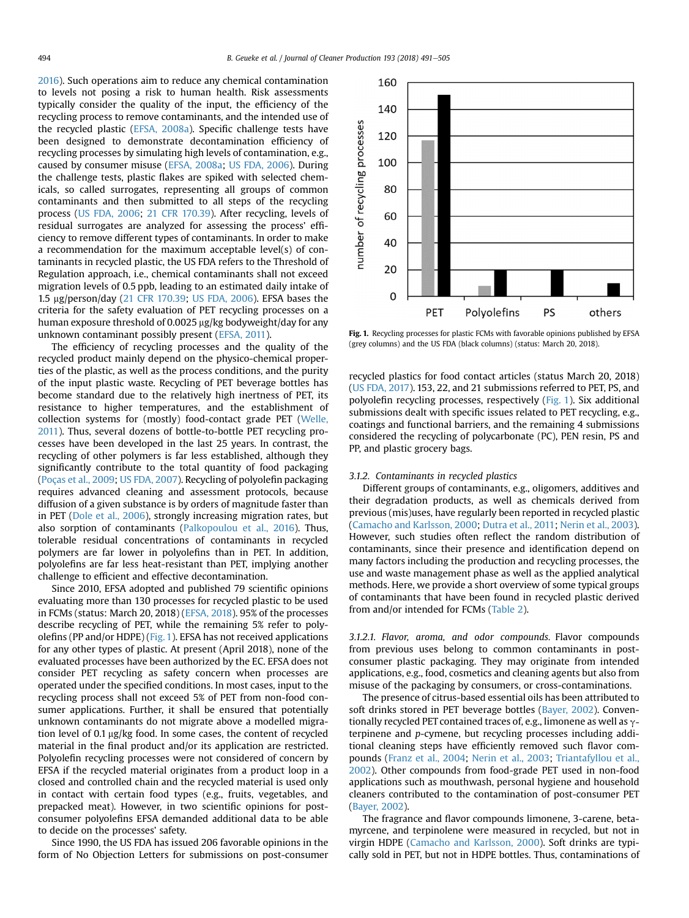[2016](#page-13-0)). Such operations aim to reduce any chemical contamination to levels not posing a risk to human health. Risk assessments typically consider the quality of the input, the efficiency of the recycling process to remove contaminants, and the intended use of the recycled plastic ([EFSA, 2008a](#page-12-0)). Specific challenge tests have been designed to demonstrate decontamination efficiency of recycling processes by simulating high levels of contamination, e.g., caused by consumer misuse ([EFSA, 2008a](#page-12-0); [US FDA, 2006](#page-14-0)). During the challenge tests, plastic flakes are spiked with selected chemicals, so called surrogates, representing all groups of common contaminants and then submitted to all steps of the recycling process ([US FDA, 2006;](#page-14-0) [21 CFR 170.39\)](#page-11-0). After recycling, levels of residual surrogates are analyzed for assessing the process' efficiency to remove different types of contaminants. In order to make a recommendation for the maximum acceptable level(s) of contaminants in recycled plastic, the US FDA refers to the Threshold of Regulation approach, i.e., chemical contaminants shall not exceed migration levels of 0.5 ppb, leading to an estimated daily intake of 1.5 mg/person/day ([21 CFR 170.39;](#page-11-0) [US FDA, 2006\)](#page-14-0). EFSA bases the criteria for the safety evaluation of PET recycling processes on a human exposure threshold of 0.0025 µg/kg bodyweight/day for any unknown contaminant possibly present [\(EFSA, 2011\)](#page-12-0).

The efficiency of recycling processes and the quality of the recycled product mainly depend on the physico-chemical properties of the plastic, as well as the process conditions, and the purity of the input plastic waste. Recycling of PET beverage bottles has become standard due to the relatively high inertness of PET, its resistance to higher temperatures, and the establishment of collection systems for (mostly) food-contact grade PET [\(Welle,](#page-14-0) [2011\)](#page-14-0). Thus, several dozens of bottle-to-bottle PET recycling processes have been developed in the last 25 years. In contrast, the recycling of other polymers is far less established, although they significantly contribute to the total quantity of food packaging ([Poças et al., 2009](#page-13-0); [US FDA, 2007\)](#page-14-0). Recycling of polyolefin packaging requires advanced cleaning and assessment protocols, because diffusion of a given substance is by orders of magnitude faster than in PET ([Dole et al., 2006](#page-12-0)), strongly increasing migration rates, but also sorption of contaminants ([Palkopoulou et al., 2016\)](#page-13-0). Thus, tolerable residual concentrations of contaminants in recycled polymers are far lower in polyolefins than in PET. In addition, polyolefins are far less heat-resistant than PET, implying another challenge to efficient and effective decontamination.

Since 2010, EFSA adopted and published 79 scientific opinions evaluating more than 130 processes for recycled plastic to be used in FCMs (status: March 20, 2018) [\(EFSA, 2018\)](#page-12-0). 95% of the processes describe recycling of PET, while the remaining 5% refer to polyolefins (PP and/or HDPE) (Fig. 1). EFSA has not received applications for any other types of plastic. At present (April 2018), none of the evaluated processes have been authorized by the EC. EFSA does not consider PET recycling as safety concern when processes are operated under the specified conditions. In most cases, input to the recycling process shall not exceed 5% of PET from non-food consumer applications. Further, it shall be ensured that potentially unknown contaminants do not migrate above a modelled migration level of 0.1 µg/kg food. In some cases, the content of recycled material in the final product and/or its application are restricted. Polyolefin recycling processes were not considered of concern by EFSA if the recycled material originates from a product loop in a closed and controlled chain and the recycled material is used only in contact with certain food types (e.g., fruits, vegetables, and prepacked meat). However, in two scientific opinions for postconsumer polyolefins EFSA demanded additional data to be able to decide on the processes' safety.

Since 1990, the US FDA has issued 206 favorable opinions in the form of No Objection Letters for submissions on post-consumer



Fig. 1. Recycling processes for plastic FCMs with favorable opinions published by EFSA (grey columns) and the US FDA (black columns) (status: March 20, 2018).

recycled plastics for food contact articles (status March 20, 2018) ([US FDA, 2017](#page-14-0)). 153, 22, and 21 submissions referred to PET, PS, and polyolefin recycling processes, respectively (Fig. 1). Six additional submissions dealt with specific issues related to PET recycling, e.g., coatings and functional barriers, and the remaining 4 submissions considered the recycling of polycarbonate (PC), PEN resin, PS and PP, and plastic grocery bags.

#### 3.1.2. Contaminants in recycled plastics

Different groups of contaminants, e.g., oligomers, additives and their degradation products, as well as chemicals derived from previous (mis)uses, have regularly been reported in recycled plastic ([Camacho and Karlsson, 2000;](#page-11-0) [Dutra et al., 2011;](#page-12-0) [Nerin et al., 2003\)](#page-13-0). However, such studies often reflect the random distribution of contaminants, since their presence and identification depend on many factors including the production and recycling processes, the use and waste management phase as well as the applied analytical methods. Here, we provide a short overview of some typical groups of contaminants that have been found in recycled plastic derived from and/or intended for FCMs [\(Table 2](#page-4-0)).

3.1.2.1. Flavor, aroma, and odor compounds. Flavor compounds from previous uses belong to common contaminants in postconsumer plastic packaging. They may originate from intended applications, e.g., food, cosmetics and cleaning agents but also from misuse of the packaging by consumers, or cross-contaminations.

The presence of citrus-based essential oils has been attributed to soft drinks stored in PET beverage bottles ([Bayer, 2002](#page-11-0)). Conventionally recycled PET contained traces of, e.g., limonene as well as  $\gamma$ terpinene and p-cymene, but recycling processes including additional cleaning steps have efficiently removed such flavor compounds ([Franz et al., 2004](#page-12-0); [Nerin et al., 2003](#page-13-0); [Triantafyllou et al.,](#page-14-0) [2002](#page-14-0)). Other compounds from food-grade PET used in non-food applications such as mouthwash, personal hygiene and household cleaners contributed to the contamination of post-consumer PET ([Bayer, 2002](#page-11-0)).

The fragrance and flavor compounds limonene, 3-carene, betamyrcene, and terpinolene were measured in recycled, but not in virgin HDPE ([Camacho and Karlsson, 2000](#page-11-0)). Soft drinks are typically sold in PET, but not in HDPE bottles. Thus, contaminations of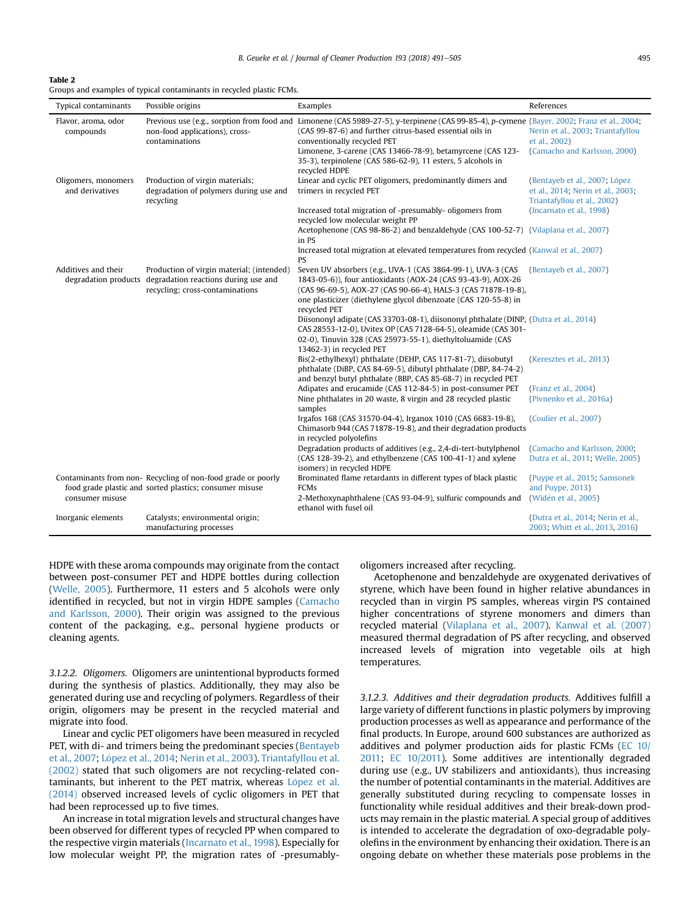B. Geueke et al. / Journal of Cleaner Production 193 (2018) 491–505 495

#### <span id="page-4-0"></span>Table 2

Groups and examples of typical contaminants in recycled plastic FCMs.

| <b>Typical contaminants</b>            | Possible origins                                                                                                                          | Examples                                                                                                                                                                                                                                                                                                                                                                                                                                                                                                                                                                                                                                                                                                                                                                                                                                                                           | References                                                                                                                    |
|----------------------------------------|-------------------------------------------------------------------------------------------------------------------------------------------|------------------------------------------------------------------------------------------------------------------------------------------------------------------------------------------------------------------------------------------------------------------------------------------------------------------------------------------------------------------------------------------------------------------------------------------------------------------------------------------------------------------------------------------------------------------------------------------------------------------------------------------------------------------------------------------------------------------------------------------------------------------------------------------------------------------------------------------------------------------------------------|-------------------------------------------------------------------------------------------------------------------------------|
| Flavor, aroma, odor<br>compounds       | non-food applications), cross-<br>contaminations                                                                                          | Previous use (e.g., sorption from food and Limonene (CAS 5989-27-5), y-terpinene (CAS 99-85-4), p-cymene (Bayer, 2002; Franz et al., 2004;<br>(CAS 99-87-6) and further citrus-based essential oils in<br>conventionally recycled PET<br>Limonene, 3-carene (CAS 13466-78-9), betamyrcene (CAS 123-<br>35-3), terpinolene (CAS 586-62-9), 11 esters, 5 alcohols in<br>recycled HDPE                                                                                                                                                                                                                                                                                                                                                                                                                                                                                                | Nerin et al., 2003; Triantafyllou<br>et al., 2002)<br>(Camacho and Karlsson, 2000)                                            |
| Oligomers, monomers<br>and derivatives | Production of virgin materials;<br>degradation of polymers during use and<br>recycling                                                    | Linear and cyclic PET oligomers, predominantly dimers and<br>trimers in recycled PET<br>Increased total migration of -presumably- oligomers from<br>recycled low molecular weight PP<br>Acetophenone (CAS 98-86-2) and benzaldehyde (CAS 100-52-7) (Vilaplana et al., 2007)<br>in PS<br>Increased total migration at elevated temperatures from recycled (Kanwal et al., 2007)<br>PS                                                                                                                                                                                                                                                                                                                                                                                                                                                                                               | (Bentayeb et al., 2007; López<br>et al., 2014; Nerin et al., 2003;<br>Triantafyllou et al., 2002)<br>(Incarnato et al., 1998) |
| Additives and their                    | Production of virgin material; (intended)<br>degradation products degradation reactions during use and<br>recycling; cross-contaminations | Seven UV absorbers (e.g., UVA-1 (CAS 3864-99-1), UVA-3 (CAS<br>1843-05-6)), four antioxidants (AOX-24 (CAS 93-43-9), AOX-26<br>(CAS 96-69-5), AOX-27 (CAS 90-66-4), HALS-3 (CAS 71878-19-8),<br>one plasticizer (diethylene glycol dibenzoate (CAS 120-55-8) in<br>recycled PET<br>Diisononyl adipate (CAS 33703-08-1), diisononyl phthalate (DINP, (Dutra et al., 2014)<br>CAS 28553-12-0), Uvitex OP (CAS 7128-64-5), oleamide (CAS 301-<br>02-0), Tinuvin 328 (CAS 25973-55-1), diethyltoluamide (CAS<br>13462-3) in recycled PET<br>Bis(2-ethylhexyl) phthalate (DEHP, CAS 117-81-7), diisobutyl<br>phthalate (DiBP, CAS 84-69-5), dibutyl phthalate (DBP, 84-74-2)<br>and benzyl butyl phthalate (BBP, CAS 85-68-7) in recycled PET<br>Adipates and erucamide (CAS 112-84-5) in post-consumer PET<br>Nine phthalates in 20 waste, 8 virgin and 28 recycled plastic<br>samples | (Bentayeb et al., 2007)<br>(Keresztes et al., 2013)<br>(Franz et al., 2004)<br>(Pivnenko et al., 2016a)                       |
|                                        | Contaminants from non-Recycling of non-food grade or poorly                                                                               | Irgafos 168 (CAS 31570-04-4), Irganox 1010 (CAS 6683-19-8),<br>Chimasorb 944 (CAS 71878-19-8), and their degradation products<br>in recycled polyolefins<br>Degradation products of additives (e.g., 2,4-di-tert-butylphenol<br>(CAS 128-39-2), and ethylbenzene (CAS 100-41-1) and xylene<br>isomers) in recycled HDPE<br>Brominated flame retardants in different types of black plastic                                                                                                                                                                                                                                                                                                                                                                                                                                                                                         | (Coulier et al., 2007)<br>(Camacho and Karlsson, 2000;<br>Dutra et al., 2011; Welle, 2005)<br>(Puype et al., 2015; Samsonek   |
| consumer misuse<br>Inorganic elements  | food grade plastic and sorted plastics; consumer misuse<br>Catalysts; environmental origin;<br>manufacturing processes                    | FCMs<br>2-Methoxynaphthalene (CAS 93-04-9), sulfuric compounds and<br>ethanol with fusel oil                                                                                                                                                                                                                                                                                                                                                                                                                                                                                                                                                                                                                                                                                                                                                                                       | and Puype, 2013)<br>(Widén et al., 2005)<br>(Dutra et al., 2014; Nerin et al.,<br>2003; Whitt et al., 2013, 2016)             |

HDPE with these aroma compounds may originate from the contact between post-consumer PET and HDPE bottles during collection ([Welle, 2005](#page-14-0)). Furthermore, 11 esters and 5 alcohols were only identified in recycled, but not in virgin HDPE samples [\(Camacho](#page-11-0) [and Karlsson, 2000](#page-11-0)). Their origin was assigned to the previous content of the packaging, e.g., personal hygiene products or cleaning agents.

3.1.2.2. Oligomers. Oligomers are unintentional byproducts formed during the synthesis of plastics. Additionally, they may also be generated during use and recycling of polymers. Regardless of their origin, oligomers may be present in the recycled material and migrate into food.

Linear and cyclic PET oligomers have been measured in recycled PET, with di- and trimers being the predominant species ([Bentayeb](#page-11-0) [et al., 2007](#page-11-0); López et al., 2014; [Nerin et al., 2003](#page-13-0)). [Triantafyllou et al.](#page-14-0) [\(2002\)](#page-14-0) stated that such oligomers are not recycling-related contaminants, but inherent to the PET matrix, whereas López et al. [\(2014\)](#page-13-0) observed increased levels of cyclic oligomers in PET that had been reprocessed up to five times.

An increase in total migration levels and structural changes have been observed for different types of recycled PP when compared to the respective virgin materials ([Incarnato et al., 1998](#page-12-0)). Especially for low molecular weight PP, the migration rates of -presumablyoligomers increased after recycling.

Acetophenone and benzaldehyde are oxygenated derivatives of styrene, which have been found in higher relative abundances in recycled than in virgin PS samples, whereas virgin PS contained higher concentrations of styrene monomers and dimers than recycled material [\(Vilaplana et al., 2007](#page-14-0)). [Kanwal et al. \(2007\)](#page-13-0) measured thermal degradation of PS after recycling, and observed increased levels of migration into vegetable oils at high temperatures.

3.1.2.3. Additives and their degradation products. Additives fulfill a large variety of different functions in plastic polymers by improving production processes as well as appearance and performance of the final products. In Europe, around 600 substances are authorized as additives and polymer production aids for plastic FCMs [\(EC 10/](#page-12-0) [2011](#page-12-0); [EC 10/2011\)](#page-12-0). Some additives are intentionally degraded during use (e.g., UV stabilizers and antioxidants), thus increasing the number of potential contaminants in the material. Additives are generally substituted during recycling to compensate losses in functionality while residual additives and their break-down products may remain in the plastic material. A special group of additives is intended to accelerate the degradation of oxo-degradable polyolefins in the environment by enhancing their oxidation. There is an ongoing debate on whether these materials pose problems in the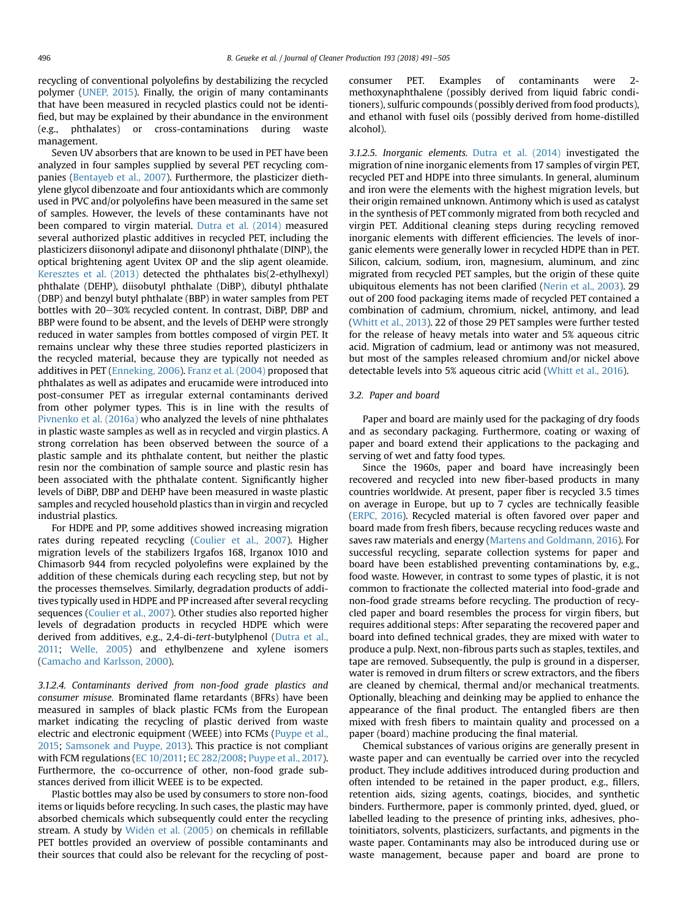recycling of conventional polyolefins by destabilizing the recycled polymer [\(UNEP, 2015\)](#page-14-0). Finally, the origin of many contaminants that have been measured in recycled plastics could not be identified, but may be explained by their abundance in the environment (e.g., phthalates) or cross-contaminations during waste management.

Seven UV absorbers that are known to be used in PET have been analyzed in four samples supplied by several PET recycling companies [\(Bentayeb et al., 2007\)](#page-11-0). Furthermore, the plasticizer diethylene glycol dibenzoate and four antioxidants which are commonly used in PVC and/or polyolefins have been measured in the same set of samples. However, the levels of these contaminants have not been compared to virgin material. [Dutra et al. \(2014\)](#page-12-0) measured several authorized plastic additives in recycled PET, including the plasticizers diisononyl adipate and diisononyl phthalate (DINP), the optical brightening agent Uvitex OP and the slip agent oleamide. [Keresztes et al. \(2013\)](#page-13-0) detected the phthalates bis(2-ethylhexyl) phthalate (DEHP), diisobutyl phthalate (DiBP), dibutyl phthalate (DBP) and benzyl butyl phthalate (BBP) in water samples from PET bottles with 20-30% recycled content. In contrast, DiBP, DBP and BBP were found to be absent, and the levels of DEHP were strongly reduced in water samples from bottles composed of virgin PET. It remains unclear why these three studies reported plasticizers in the recycled material, because they are typically not needed as additives in PET ([Enneking, 2006](#page-12-0)). [Franz et al. \(2004\)](#page-12-0) proposed that phthalates as well as adipates and erucamide were introduced into post-consumer PET as irregular external contaminants derived from other polymer types. This is in line with the results of [Pivnenko et al. \(2016a\)](#page-13-0) who analyzed the levels of nine phthalates in plastic waste samples as well as in recycled and virgin plastics. A strong correlation has been observed between the source of a plastic sample and its phthalate content, but neither the plastic resin nor the combination of sample source and plastic resin has been associated with the phthalate content. Significantly higher levels of DiBP, DBP and DEHP have been measured in waste plastic samples and recycled household plastics than in virgin and recycled industrial plastics.

For HDPE and PP, some additives showed increasing migration rates during repeated recycling ([Coulier et al., 2007\)](#page-12-0). Higher migration levels of the stabilizers Irgafos 168, Irganox 1010 and Chimasorb 944 from recycled polyolefins were explained by the addition of these chemicals during each recycling step, but not by the processes themselves. Similarly, degradation products of additives typically used in HDPE and PP increased after several recycling sequences ([Coulier et al., 2007](#page-12-0)). Other studies also reported higher levels of degradation products in recycled HDPE which were derived from additives, e.g., 2,4-di-tert-butylphenol ([Dutra et al.,](#page-12-0) [2011;](#page-12-0) [Welle, 2005\)](#page-14-0) and ethylbenzene and xylene isomers ([Camacho and Karlsson, 2000](#page-11-0)).

3.1.2.4. Contaminants derived from non-food grade plastics and consumer misuse. Brominated flame retardants (BFRs) have been measured in samples of black plastic FCMs from the European market indicating the recycling of plastic derived from waste electric and electronic equipment (WEEE) into FCMs ([Puype et al.,](#page-13-0) [2015](#page-13-0); [Samsonek and Puype, 2013\)](#page-13-0). This practice is not compliant with FCM regulations [\(EC 10/2011](#page-12-0); [EC 282/2008](#page-12-0); [Puype et al., 2017\)](#page-13-0). Furthermore, the co-occurrence of other, non-food grade substances derived from illicit WEEE is to be expected.

Plastic bottles may also be used by consumers to store non-food items or liquids before recycling. In such cases, the plastic may have absorbed chemicals which subsequently could enter the recycling stream. A study by [Wid](#page-14-0)é[n et al. \(2005\)](#page-14-0) on chemicals in refillable PET bottles provided an overview of possible contaminants and their sources that could also be relevant for the recycling of postconsumer PET. Examples of contaminants were 2 methoxynaphthalene (possibly derived from liquid fabric conditioners), sulfuric compounds (possibly derived from food products), and ethanol with fusel oils (possibly derived from home-distilled alcohol).

3.1.2.5. Inorganic elements. [Dutra et al. \(2014\)](#page-12-0) investigated the migration of nine inorganic elements from 17 samples of virgin PET, recycled PET and HDPE into three simulants. In general, aluminum and iron were the elements with the highest migration levels, but their origin remained unknown. Antimony which is used as catalyst in the synthesis of PET commonly migrated from both recycled and virgin PET. Additional cleaning steps during recycling removed inorganic elements with different efficiencies. The levels of inorganic elements were generally lower in recycled HDPE than in PET. Silicon, calcium, sodium, iron, magnesium, aluminum, and zinc migrated from recycled PET samples, but the origin of these quite ubiquitous elements has not been clarified ([Nerin et al., 2003\)](#page-13-0). 29 out of 200 food packaging items made of recycled PET contained a combination of cadmium, chromium, nickel, antimony, and lead ([Whitt et al., 2013](#page-14-0)). 22 of those 29 PET samples were further tested for the release of heavy metals into water and 5% aqueous citric acid. Migration of cadmium, lead or antimony was not measured, but most of the samples released chromium and/or nickel above detectable levels into 5% aqueous citric acid [\(Whitt et al., 2016\)](#page-14-0).

#### 3.2. Paper and board

Paper and board are mainly used for the packaging of dry foods and as secondary packaging. Furthermore, coating or waxing of paper and board extend their applications to the packaging and serving of wet and fatty food types.

Since the 1960s, paper and board have increasingly been recovered and recycled into new fiber-based products in many countries worldwide. At present, paper fiber is recycled 3.5 times on average in Europe, but up to 7 cycles are technically feasible ([ERPC, 2016\)](#page-12-0). Recycled material is often favored over paper and board made from fresh fibers, because recycling reduces waste and saves raw materials and energy ([Martens and Goldmann, 2016](#page-13-0)). For successful recycling, separate collection systems for paper and board have been established preventing contaminations by, e.g., food waste. However, in contrast to some types of plastic, it is not common to fractionate the collected material into food-grade and non-food grade streams before recycling. The production of recycled paper and board resembles the process for virgin fibers, but requires additional steps: After separating the recovered paper and board into defined technical grades, they are mixed with water to produce a pulp. Next, non-fibrous parts such as staples, textiles, and tape are removed. Subsequently, the pulp is ground in a disperser, water is removed in drum filters or screw extractors, and the fibers are cleaned by chemical, thermal and/or mechanical treatments. Optionally, bleaching and deinking may be applied to enhance the appearance of the final product. The entangled fibers are then mixed with fresh fibers to maintain quality and processed on a paper (board) machine producing the final material.

Chemical substances of various origins are generally present in waste paper and can eventually be carried over into the recycled product. They include additives introduced during production and often intended to be retained in the paper product, e.g., fillers, retention aids, sizing agents, coatings, biocides, and synthetic binders. Furthermore, paper is commonly printed, dyed, glued, or labelled leading to the presence of printing inks, adhesives, photoinitiators, solvents, plasticizers, surfactants, and pigments in the waste paper. Contaminants may also be introduced during use or waste management, because paper and board are prone to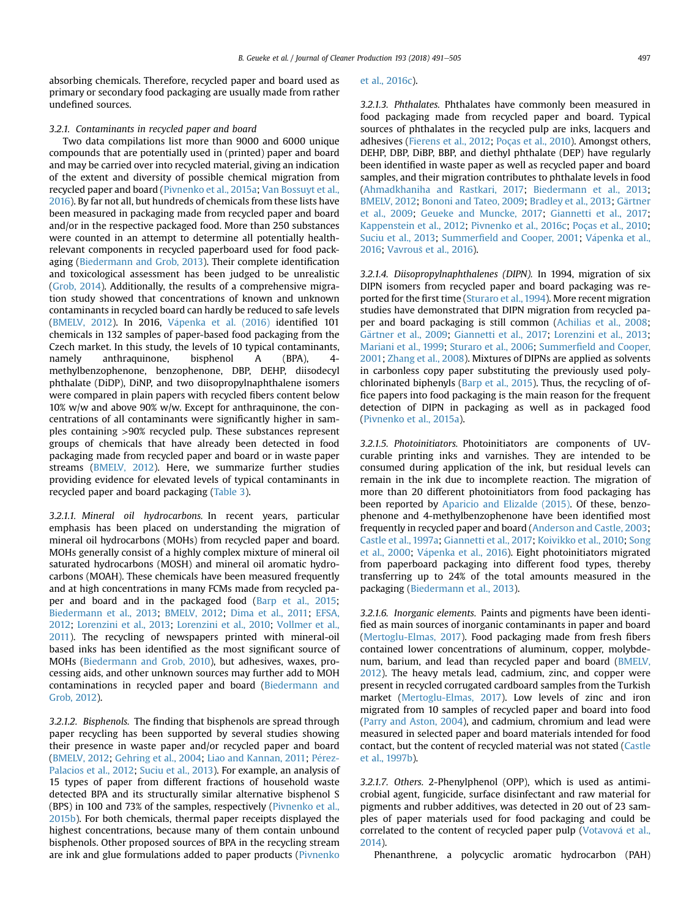absorbing chemicals. Therefore, recycled paper and board used as primary or secondary food packaging are usually made from rather undefined sources.

#### 3.2.1. Contaminants in recycled paper and board

Two data compilations list more than 9000 and 6000 unique compounds that are potentially used in (printed) paper and board and may be carried over into recycled material, giving an indication of the extent and diversity of possible chemical migration from recycled paper and board ([Pivnenko et al., 2015a](#page-13-0); [Van Bossuyt et al.,](#page-14-0) [2016\)](#page-14-0). By far not all, but hundreds of chemicals from these lists have been measured in packaging made from recycled paper and board and/or in the respective packaged food. More than 250 substances were counted in an attempt to determine all potentially healthrelevant components in recycled paperboard used for food packaging ([Biedermann and Grob, 2013\)](#page-11-0). Their complete identification and toxicological assessment has been judged to be unrealistic ([Grob, 2014](#page-12-0)). Additionally, the results of a comprehensive migration study showed that concentrations of known and unknown contaminants in recycled board can hardly be reduced to safe levels ([BMELV, 2012](#page-11-0)). In 2016, Vápenka et al. (2016) identified 101 chemicals in 132 samples of paper-based food packaging from the Czech market. In this study, the levels of 10 typical contaminants, namely anthraquinone, bisphenol A (BPA), 4 methylbenzophenone, benzophenone, DBP, DEHP, diisodecyl phthalate (DiDP), DiNP, and two diisopropylnaphthalene isomers were compared in plain papers with recycled fibers content below 10% w/w and above 90% w/w. Except for anthraquinone, the concentrations of all contaminants were significantly higher in samples containing >90% recycled pulp. These substances represent groups of chemicals that have already been detected in food packaging made from recycled paper and board or in waste paper streams ([BMELV, 2012](#page-11-0)). Here, we summarize further studies providing evidence for elevated levels of typical contaminants in recycled paper and board packaging ([Table 3](#page-7-0)).

3.2.1.1. Mineral oil hydrocarbons. In recent years, particular emphasis has been placed on understanding the migration of mineral oil hydrocarbons (MOHs) from recycled paper and board. MOHs generally consist of a highly complex mixture of mineral oil saturated hydrocarbons (MOSH) and mineral oil aromatic hydrocarbons (MOAH). These chemicals have been measured frequently and at high concentrations in many FCMs made from recycled paper and board and in the packaged food ([Barp et al., 2015;](#page-11-0) [Biedermann et al., 2013;](#page-11-0) [BMELV, 2012;](#page-11-0) [Dima et al., 2011;](#page-12-0) [EFSA,](#page-12-0) [2012;](#page-12-0) [Lorenzini et al., 2013](#page-13-0); [Lorenzini et al., 2010;](#page-13-0) [Vollmer et al.,](#page-14-0) [2011](#page-14-0)). The recycling of newspapers printed with mineral-oil based inks has been identified as the most significant source of MOHs [\(Biedermann and Grob, 2010\)](#page-11-0), but adhesives, waxes, processing aids, and other unknown sources may further add to MOH contaminations in recycled paper and board ([Biedermann and](#page-11-0) [Grob, 2012\)](#page-11-0).

3.2.1.2. Bisphenols. The finding that bisphenols are spread through paper recycling has been supported by several studies showing their presence in waste paper and/or recycled paper and board ([BMELV, 2012](#page-11-0); [Gehring et al., 2004](#page-12-0); [Liao and Kannan, 2011](#page-13-0); [P](#page-13-0)é[rez-](#page-13-0) [Palacios et al., 2012;](#page-13-0) [Suciu et al., 2013](#page-14-0)). For example, an analysis of 15 types of paper from different fractions of household waste detected BPA and its structurally similar alternative bisphenol S (BPS) in 100 and 73% of the samples, respectively ([Pivnenko et al.,](#page-13-0) [2015b](#page-13-0)). For both chemicals, thermal paper receipts displayed the highest concentrations, because many of them contain unbound bisphenols. Other proposed sources of BPA in the recycling stream are ink and glue formulations added to paper products ([Pivnenko](#page-13-0)

#### [et al., 2016c](#page-13-0)).

3.2.1.3. Phthalates. Phthalates have commonly been measured in food packaging made from recycled paper and board. Typical sources of phthalates in the recycled pulp are inks, lacquers and adhesives ([Fierens et al., 2012](#page-12-0); [Poças et al., 2010](#page-13-0)). Amongst others, DEHP, DBP, DiBP, BBP, and diethyl phthalate (DEP) have regularly been identified in waste paper as well as recycled paper and board samples, and their migration contributes to phthalate levels in food ([Ahmadkhaniha and Rastkari, 2017](#page-11-0); [Biedermann et al., 2013;](#page-11-0) [BMELV, 2012](#page-11-0); [Bononi and Tateo, 2009](#page-11-0); [Bradley et al., 2013;](#page-11-0) [G](#page-12-0)ä[rtner](#page-12-0) [et al., 2009;](#page-12-0) [Geueke and Muncke, 2017](#page-12-0); [Giannetti et al., 2017;](#page-12-0) [Kappenstein et al., 2012](#page-13-0); [Pivnenko et al., 2016c;](#page-13-0) [Poças et al., 2010;](#page-13-0) [Suciu et al., 2013](#page-14-0); Summerfi[eld and Cooper, 2001;](#page-14-0) Vápenka et al., [2016;](#page-14-0) [Vavrou](#page-14-0)[s et al., 2016\)](#page-14-0).

3.2.1.4. Diisopropylnaphthalenes (DIPN). In 1994, migration of six DIPN isomers from recycled paper and board packaging was reported for the first time ([Sturaro et al., 1994\)](#page-14-0). More recent migration studies have demonstrated that DIPN migration from recycled paper and board packaging is still common ([Achilias et al., 2008;](#page-11-0) [G](#page-12-0)ä[rtner et al., 2009;](#page-12-0) [Giannetti et al., 2017](#page-12-0); [Lorenzini et al., 2013;](#page-13-0) [Mariani et al., 1999;](#page-13-0) [Sturaro et al., 2006](#page-14-0); Summerfi[eld and Cooper,](#page-14-0) [2001](#page-14-0); [Zhang et al., 2008](#page-14-0)). Mixtures of DIPNs are applied as solvents in carbonless copy paper substituting the previously used polychlorinated biphenyls [\(Barp et al., 2015\)](#page-11-0). Thus, the recycling of office papers into food packaging is the main reason for the frequent detection of DIPN in packaging as well as in packaged food ([Pivnenko et al., 2015a](#page-13-0)).

3.2.1.5. Photoinitiators. Photoinitiators are components of UVcurable printing inks and varnishes. They are intended to be consumed during application of the ink, but residual levels can remain in the ink due to incomplete reaction. The migration of more than 20 different photoinitiators from food packaging has been reported by [Aparicio and Elizalde \(2015\).](#page-11-0) Of these, benzophenone and 4-methylbenzophenone have been identified most frequently in recycled paper and board [\(Anderson and Castle, 2003;](#page-11-0) [Castle et al., 1997a](#page-11-0); [Giannetti et al., 2017](#page-12-0); [Koivikko et al., 2010](#page-13-0); [Song](#page-14-0) [et al., 2000;](#page-14-0) Vápenka et al., 2016). Eight photoinitiators migrated from paperboard packaging into different food types, thereby transferring up to 24% of the total amounts measured in the packaging [\(Biedermann et al., 2013\)](#page-11-0).

3.2.1.6. Inorganic elements. Paints and pigments have been identified as main sources of inorganic contaminants in paper and board ([Mertoglu-Elmas, 2017\)](#page-13-0). Food packaging made from fresh fibers contained lower concentrations of aluminum, copper, molybdenum, barium, and lead than recycled paper and board [\(BMELV,](#page-11-0) [2012\)](#page-11-0). The heavy metals lead, cadmium, zinc, and copper were present in recycled corrugated cardboard samples from the Turkish market [\(Mertoglu-Elmas, 2017\)](#page-13-0). Low levels of zinc and iron migrated from 10 samples of recycled paper and board into food ([Parry and Aston, 2004](#page-13-0)), and cadmium, chromium and lead were measured in selected paper and board materials intended for food contact, but the content of recycled material was not stated [\(Castle](#page-11-0) [et al., 1997b\)](#page-11-0).

3.2.1.7. Others. 2-Phenylphenol (OPP), which is used as antimicrobial agent, fungicide, surface disinfectant and raw material for pigments and rubber additives, was detected in 20 out of 23 samples of paper materials used for food packaging and could be correlated to the content of recycled paper pulp ([Votavov](#page-14-0)á [et al.,](#page-14-0) [2014\)](#page-14-0).

Phenanthrene, a polycyclic aromatic hydrocarbon (PAH)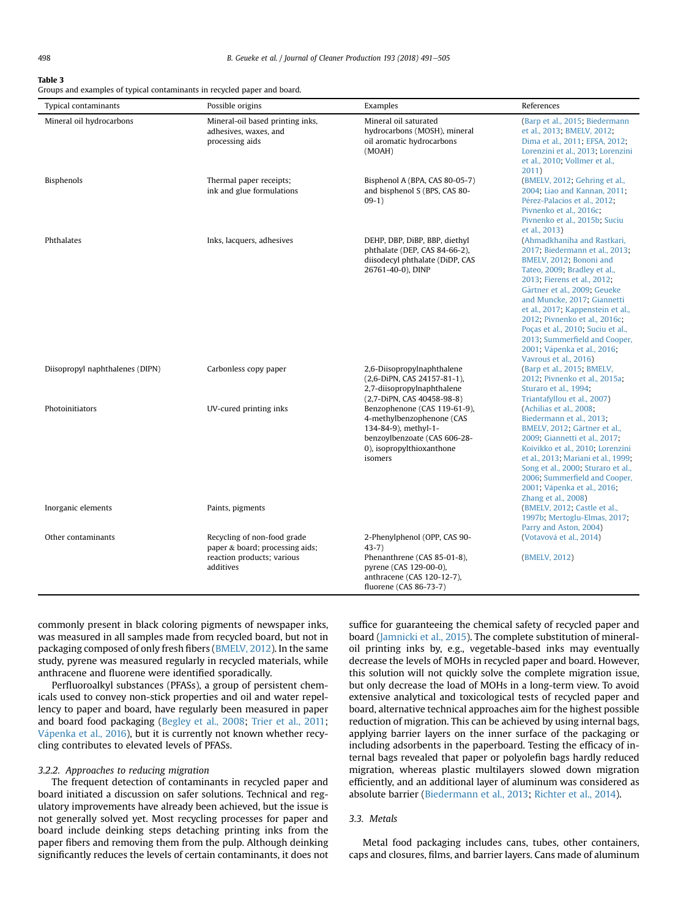#### <span id="page-7-0"></span>Table 3

Groups and examples of typical contaminants in recycled paper and board.

| <b>Typical contaminants</b>     | Possible origins                                                                                          | Examples                                                                                                                                                  | References                                                                                                                                                                                                                                                                                                                                                                                                                 |
|---------------------------------|-----------------------------------------------------------------------------------------------------------|-----------------------------------------------------------------------------------------------------------------------------------------------------------|----------------------------------------------------------------------------------------------------------------------------------------------------------------------------------------------------------------------------------------------------------------------------------------------------------------------------------------------------------------------------------------------------------------------------|
| Mineral oil hydrocarbons        | Mineral-oil based printing inks,<br>adhesives, waxes, and<br>processing aids                              | Mineral oil saturated<br>hydrocarbons (MOSH), mineral<br>oil aromatic hydrocarbons<br>(MOAH)                                                              | (Barp et al., 2015; Biedermann<br>et al., 2013; BMELV, 2012;<br>Dima et al., 2011; EFSA, 2012;<br>Lorenzini et al., 2013; Lorenzini<br>et al., 2010; Vollmer et al.,<br>2011)                                                                                                                                                                                                                                              |
| Bisphenols                      | Thermal paper receipts;<br>ink and glue formulations                                                      | Bisphenol A (BPA, CAS 80-05-7)<br>and bisphenol S (BPS, CAS 80-<br>$09-1)$                                                                                | (BMELV, 2012; Gehring et al.,<br>2004; Liao and Kannan, 2011;<br>Pérez-Palacios et al., 2012;<br>Pivnenko et al., 2016c;<br>Pivnenko et al., 2015b; Suciu<br>et al., 2013)                                                                                                                                                                                                                                                 |
| Phthalates                      | Inks, lacquers, adhesives                                                                                 | DEHP, DBP, DiBP, BBP, diethyl<br>phthalate (DEP, CAS 84-66-2),<br>diisodecyl phthalate (DiDP, CAS<br>26761-40-0), DINP                                    | (Ahmadkhaniha and Rastkari,<br>2017; Biedermann et al., 2013;<br>BMELV, 2012; Bononi and<br>Tateo, 2009; Bradley et al.,<br>2013; Fierens et al., 2012;<br>Gärtner et al., 2009; Geueke<br>and Muncke, 2017; Giannetti<br>et al., 2017; Kappenstein et al.,<br>2012; Pivnenko et al., 2016c;<br>Poças et al., 2010; Suciu et al.,<br>2013; Summerfield and Cooper,<br>2001; Vápenka et al., 2016;<br>Vavrouš et al., 2016) |
| Diisopropyl naphthalenes (DIPN) | Carbonless copy paper                                                                                     | 2,6-Diisopropylnaphthalene<br>(2,6-DiPN, CAS 24157-81-1),<br>2,7-diisopropylnaphthalene<br>(2,7-DiPN, CAS 40458-98-8)                                     | (Barp et al., 2015; BMELV,<br>2012; Pivnenko et al., 2015a;<br>Sturaro et al., 1994;<br>Triantafyllou et al., 2007)                                                                                                                                                                                                                                                                                                        |
| Photoinitiators                 | UV-cured printing inks                                                                                    | Benzophenone (CAS 119-61-9),<br>4-methylbenzophenone (CAS<br>134-84-9), methyl-1-<br>benzoylbenzoate (CAS 606-28-<br>0), isopropylthioxanthone<br>isomers | (Achilias et al., 2008;<br>Biedermann et al., 2013;<br>BMELV, 2012; Gärtner et al.,<br>2009; Giannetti et al., 2017;<br>Koivikko et al., 2010; Lorenzini<br>et al., 2013; Mariani et al., 1999;<br>Song et al., 2000; Sturaro et al.,<br>2006; Summerfield and Cooper,<br>2001; Vápenka et al., 2016;<br>Zhang et al., 2008)                                                                                               |
| Inorganic elements              | Paints, pigments                                                                                          |                                                                                                                                                           | (BMELV, 2012; Castle et al.,<br>1997b; Mertoglu-Elmas, 2017;<br>Parry and Aston, 2004)                                                                                                                                                                                                                                                                                                                                     |
| Other contaminants              | Recycling of non-food grade<br>paper & board; processing aids;<br>reaction products; various<br>additives | 2-Phenylphenol (OPP, CAS 90-<br>$43-7)$<br>Phenanthrene (CAS 85-01-8),<br>pyrene (CAS 129-00-0),<br>anthracene (CAS 120-12-7),<br>fluorene (CAS 86-73-7)  | (Votavová et al., 2014)<br>(BMELV, 2012)                                                                                                                                                                                                                                                                                                                                                                                   |

commonly present in black coloring pigments of newspaper inks, was measured in all samples made from recycled board, but not in packaging composed of only fresh fibers [\(BMELV, 2012](#page-11-0)). In the same study, pyrene was measured regularly in recycled materials, while anthracene and fluorene were identified sporadically.

Perfluoroalkyl substances (PFASs), a group of persistent chemicals used to convey non-stick properties and oil and water repellency to paper and board, have regularly been measured in paper and board food packaging [\(Begley et al., 2008;](#page-11-0) [Trier et al., 2011](#page-14-0); [V](#page-14-0) [apenka et al., 2016](#page-14-0)), but it is currently not known whether recycling contributes to elevated levels of PFASs.

#### 3.2.2. Approaches to reducing migration

The frequent detection of contaminants in recycled paper and board initiated a discussion on safer solutions. Technical and regulatory improvements have already been achieved, but the issue is not generally solved yet. Most recycling processes for paper and board include deinking steps detaching printing inks from the paper fibers and removing them from the pulp. Although deinking significantly reduces the levels of certain contaminants, it does not suffice for guaranteeing the chemical safety of recycled paper and board ([Jamnicki et al., 2015](#page-13-0)). The complete substitution of mineraloil printing inks by, e.g., vegetable-based inks may eventually decrease the levels of MOHs in recycled paper and board. However, this solution will not quickly solve the complete migration issue, but only decrease the load of MOHs in a long-term view. To avoid extensive analytical and toxicological tests of recycled paper and board, alternative technical approaches aim for the highest possible reduction of migration. This can be achieved by using internal bags, applying barrier layers on the inner surface of the packaging or including adsorbents in the paperboard. Testing the efficacy of internal bags revealed that paper or polyolefin bags hardly reduced migration, whereas plastic multilayers slowed down migration efficiently, and an additional layer of aluminum was considered as absolute barrier [\(Biedermann et al., 2013;](#page-11-0) [Richter et al., 2014\)](#page-13-0).

## 3.3. Metals

Metal food packaging includes cans, tubes, other containers, caps and closures, films, and barrier layers. Cans made of aluminum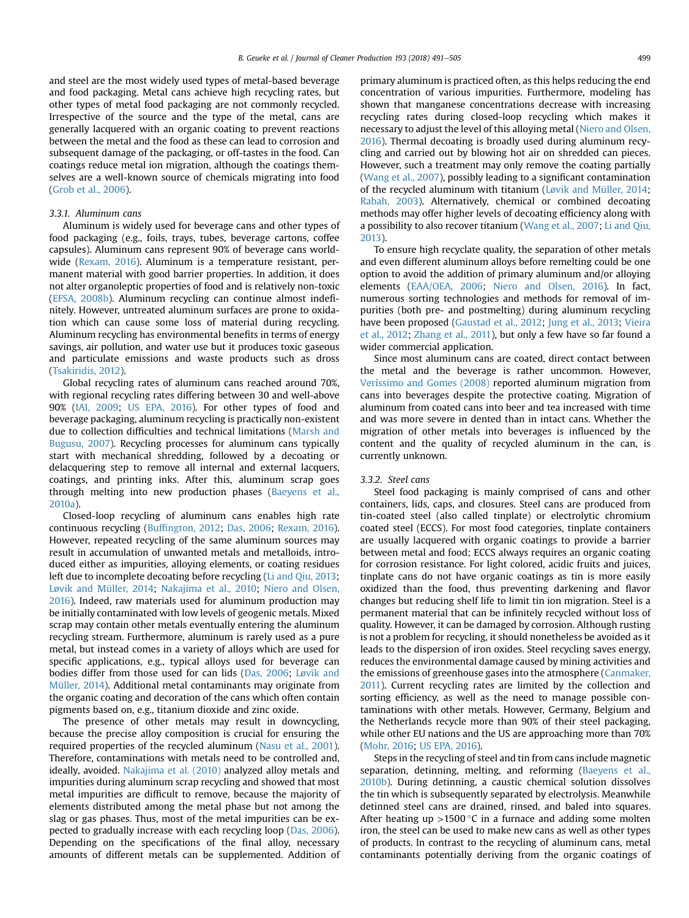and steel are the most widely used types of metal-based beverage and food packaging. Metal cans achieve high recycling rates, but other types of metal food packaging are not commonly recycled. Irrespective of the source and the type of the metal, cans are generally lacquered with an organic coating to prevent reactions between the metal and the food as these can lead to corrosion and subsequent damage of the packaging, or off-tastes in the food. Can coatings reduce metal ion migration, although the coatings themselves are a well-known source of chemicals migrating into food ([Grob et al., 2006\)](#page-12-0).

#### 3.3.1. Aluminum cans

Aluminum is widely used for beverage cans and other types of food packaging (e.g., foils, trays, tubes, beverage cartons, coffee capsules). Aluminum cans represent 90% of beverage cans worldwide [\(Rexam, 2016\)](#page-13-0). Aluminum is a temperature resistant, permanent material with good barrier properties. In addition, it does not alter organoleptic properties of food and is relatively non-toxic ([EFSA, 2008b\)](#page-12-0). Aluminum recycling can continue almost indefinitely. However, untreated aluminum surfaces are prone to oxidation which can cause some loss of material during recycling. Aluminum recycling has environmental benefits in terms of energy savings, air pollution, and water use but it produces toxic gaseous and particulate emissions and waste products such as dross ([Tsakiridis, 2012](#page-14-0)).

Global recycling rates of aluminum cans reached around 70%, with regional recycling rates differing between 30 and well-above 90% [\(IAI, 2009](#page-12-0); [US EPA, 2016\)](#page-14-0). For other types of food and beverage packaging, aluminum recycling is practically non-existent due to collection difficulties and technical limitations ([Marsh and](#page-13-0) [Bugusu, 2007](#page-13-0)). Recycling processes for aluminum cans typically start with mechanical shredding, followed by a decoating or delacquering step to remove all internal and external lacquers, coatings, and printing inks. After this, aluminum scrap goes through melting into new production phases ([Baeyens et al.,](#page-11-0) [2010a\)](#page-11-0).

Closed-loop recycling of aluminum cans enables high rate continuous recycling (Buffi[ngton, 2012;](#page-11-0) [Das, 2006](#page-12-0); [Rexam, 2016\)](#page-13-0). However, repeated recycling of the same aluminum sources may result in accumulation of unwanted metals and metalloids, introduced either as impurities, alloying elements, or coating residues left due to incomplete decoating before recycling ([Li and Qiu, 2013;](#page-13-0) [Løvik and Müller, 2014;](#page-13-0) [Nakajima et al., 2010;](#page-13-0) [Niero and Olsen,](#page-13-0) [2016\)](#page-13-0). Indeed, raw materials used for aluminum production may be initially contaminated with low levels of geogenic metals. Mixed scrap may contain other metals eventually entering the aluminum recycling stream. Furthermore, aluminum is rarely used as a pure metal, but instead comes in a variety of alloys which are used for specific applications, e.g., typical alloys used for beverage can bodies differ from those used for can lids [\(Das, 2006;](#page-12-0) [Løvik and](#page-13-0) [Müller, 2014](#page-13-0)). Additional metal contaminants may originate from the organic coating and decoration of the cans which often contain pigments based on, e.g., titanium dioxide and zinc oxide.

The presence of other metals may result in downcycling, because the precise alloy composition is crucial for ensuring the required properties of the recycled aluminum [\(Nasu et al., 2001\)](#page-13-0). Therefore, contaminations with metals need to be controlled and, ideally, avoided. [Nakajima et al. \(2010\)](#page-13-0) analyzed alloy metals and impurities during aluminum scrap recycling and showed that most metal impurities are difficult to remove, because the majority of elements distributed among the metal phase but not among the slag or gas phases. Thus, most of the metal impurities can be expected to gradually increase with each recycling loop [\(Das, 2006\)](#page-12-0). Depending on the specifications of the final alloy, necessary amounts of different metals can be supplemented. Addition of primary aluminum is practiced often, as this helps reducing the end concentration of various impurities. Furthermore, modeling has shown that manganese concentrations decrease with increasing recycling rates during closed-loop recycling which makes it necessary to adjust the level of this alloying metal [\(Niero and Olsen,](#page-13-0) [2016\)](#page-13-0). Thermal decoating is broadly used during aluminum recycling and carried out by blowing hot air on shredded can pieces. However, such a treatment may only remove the coating partially ([Wang et al., 2007\)](#page-14-0), possibly leading to a significant contamination of the recycled aluminum with titanium ([Løvik and Müller, 2014;](#page-13-0) [Rabah, 2003\)](#page-13-0). Alternatively, chemical or combined decoating methods may offer higher levels of decoating efficiency along with a possibility to also recover titanium ([Wang et al., 2007;](#page-14-0) [Li and Qiu,](#page-13-0) [2013\)](#page-13-0).

To ensure high recyclate quality, the separation of other metals and even different aluminum alloys before remelting could be one option to avoid the addition of primary aluminum and/or alloying elements [\(EAA/OEA, 2006](#page-12-0); [Niero and Olsen, 2016\)](#page-13-0). In fact, numerous sorting technologies and methods for removal of impurities (both pre- and postmelting) during aluminum recycling have been proposed ([Gaustad et al., 2012;](#page-12-0) [Jung et al., 2013;](#page-13-0) [Vieira](#page-14-0) [et al., 2012;](#page-14-0) [Zhang et al., 2011\)](#page-14-0), but only a few have so far found a wider commercial application.

Since most aluminum cans are coated, direct contact between the metal and the beverage is rather uncommon. However, [Veríssimo and Gomes \(2008\)](#page-14-0) reported aluminum migration from cans into beverages despite the protective coating. Migration of aluminum from coated cans into beer and tea increased with time and was more severe in dented than in intact cans. Whether the migration of other metals into beverages is influenced by the content and the quality of recycled aluminum in the can, is currently unknown.

#### 3.3.2. Steel cans

Steel food packaging is mainly comprised of cans and other containers, lids, caps, and closures. Steel cans are produced from tin-coated steel (also called tinplate) or electrolytic chromium coated steel (ECCS). For most food categories, tinplate containers are usually lacquered with organic coatings to provide a barrier between metal and food; ECCS always requires an organic coating for corrosion resistance. For light colored, acidic fruits and juices, tinplate cans do not have organic coatings as tin is more easily oxidized than the food, thus preventing darkening and flavor changes but reducing shelf life to limit tin ion migration. Steel is a permanent material that can be infinitely recycled without loss of quality. However, it can be damaged by corrosion. Although rusting is not a problem for recycling, it should nonetheless be avoided as it leads to the dispersion of iron oxides. Steel recycling saves energy, reduces the environmental damage caused by mining activities and the emissions of greenhouse gases into the atmosphere ([Canmaker,](#page-11-0) [2011](#page-11-0)). Current recycling rates are limited by the collection and sorting efficiency, as well as the need to manage possible contaminations with other metals. However, Germany, Belgium and the Netherlands recycle more than 90% of their steel packaging, while other EU nations and the US are approaching more than 70% ([Mohr, 2016](#page-13-0); [US EPA, 2016](#page-14-0)).

Steps in the recycling of steel and tin from cans include magnetic separation, detinning, melting, and reforming ([Baeyens et al.,](#page-11-0) [2010b](#page-11-0)). During detinning, a caustic chemical solution dissolves the tin which is subsequently separated by electrolysis. Meanwhile detinned steel cans are drained, rinsed, and baled into squares. After heating up  $>1500$  °C in a furnace and adding some molten iron, the steel can be used to make new cans as well as other types of products. In contrast to the recycling of aluminum cans, metal contaminants potentially deriving from the organic coatings of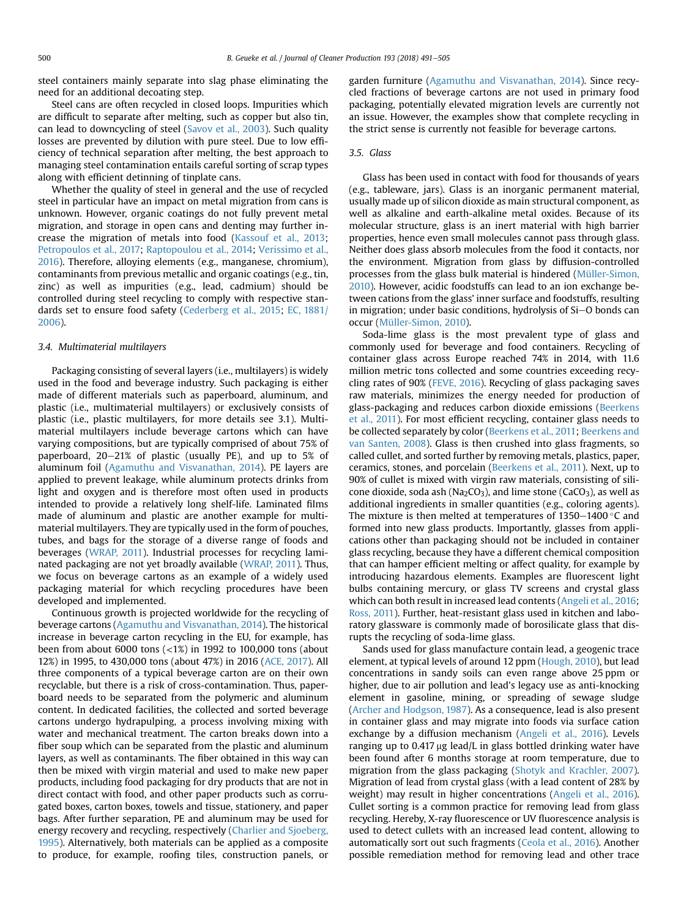steel containers mainly separate into slag phase eliminating the need for an additional decoating step.

Steel cans are often recycled in closed loops. Impurities which are difficult to separate after melting, such as copper but also tin, can lead to downcycling of steel ([Savov et al., 2003](#page-14-0)). Such quality losses are prevented by dilution with pure steel. Due to low efficiency of technical separation after melting, the best approach to managing steel contamination entails careful sorting of scrap types along with efficient detinning of tinplate cans.

Whether the quality of steel in general and the use of recycled steel in particular have an impact on metal migration from cans is unknown. However, organic coatings do not fully prevent metal migration, and storage in open cans and denting may further increase the migration of metals into food [\(Kassouf et al., 2013](#page-13-0); [Petropoulos et al., 2017](#page-13-0); [Raptopoulou et al., 2014](#page-13-0); [Verissimo et al.,](#page-14-0) [2016](#page-14-0)). Therefore, alloying elements (e.g., manganese, chromium), contaminants from previous metallic and organic coatings (e.g., tin, zinc) as well as impurities (e.g., lead, cadmium) should be controlled during steel recycling to comply with respective standards set to ensure food safety ([Cederberg et al., 2015;](#page-11-0) [EC, 1881/](#page-12-0) [2006](#page-12-0)).

#### 3.4. Multimaterial multilayers

Packaging consisting of several layers (i.e., multilayers) is widely used in the food and beverage industry. Such packaging is either made of different materials such as paperboard, aluminum, and plastic (i.e., multimaterial multilayers) or exclusively consists of plastic (i.e., plastic multilayers, for more details see 3.1). Multimaterial multilayers include beverage cartons which can have varying compositions, but are typically comprised of about 75% of paperboard,  $20-21\%$  of plastic (usually PE), and up to 5% of aluminum foil [\(Agamuthu and Visvanathan, 2014](#page-11-0)). PE layers are applied to prevent leakage, while aluminum protects drinks from light and oxygen and is therefore most often used in products intended to provide a relatively long shelf-life. Laminated films made of aluminum and plastic are another example for multimaterial multilayers. They are typically used in the form of pouches, tubes, and bags for the storage of a diverse range of foods and beverages [\(WRAP, 2011\)](#page-14-0). Industrial processes for recycling laminated packaging are not yet broadly available ([WRAP, 2011](#page-14-0)). Thus, we focus on beverage cartons as an example of a widely used packaging material for which recycling procedures have been developed and implemented.

Continuous growth is projected worldwide for the recycling of beverage cartons [\(Agamuthu and Visvanathan, 2014\)](#page-11-0). The historical increase in beverage carton recycling in the EU, for example, has been from about 6000 tons (<1%) in 1992 to 100,000 tons (about 12%) in 1995, to 430,000 tons (about 47%) in 2016 ([ACE, 2017](#page-11-0)). All three components of a typical beverage carton are on their own recyclable, but there is a risk of cross-contamination. Thus, paperboard needs to be separated from the polymeric and aluminum content. In dedicated facilities, the collected and sorted beverage cartons undergo hydrapulping, a process involving mixing with water and mechanical treatment. The carton breaks down into a fiber soup which can be separated from the plastic and aluminum layers, as well as contaminants. The fiber obtained in this way can then be mixed with virgin material and used to make new paper products, including food packaging for dry products that are not in direct contact with food, and other paper products such as corrugated boxes, carton boxes, towels and tissue, stationery, and paper bags. After further separation, PE and aluminum may be used for energy recovery and recycling, respectively ([Charlier and Sjoeberg,](#page-12-0) [1995](#page-12-0)). Alternatively, both materials can be applied as a composite to produce, for example, roofing tiles, construction panels, or garden furniture ([Agamuthu and Visvanathan, 2014](#page-11-0)). Since recycled fractions of beverage cartons are not used in primary food packaging, potentially elevated migration levels are currently not an issue. However, the examples show that complete recycling in the strict sense is currently not feasible for beverage cartons.

#### 3.5. Glass

Glass has been used in contact with food for thousands of years (e.g., tableware, jars). Glass is an inorganic permanent material, usually made up of silicon dioxide as main structural component, as well as alkaline and earth-alkaline metal oxides. Because of its molecular structure, glass is an inert material with high barrier properties, hence even small molecules cannot pass through glass. Neither does glass absorb molecules from the food it contacts, nor the environment. Migration from glass by diffusion-controlled processes from the glass bulk material is hindered ([Müller-Simon,](#page-13-0) [2010\)](#page-13-0). However, acidic foodstuffs can lead to an ion exchange between cations from the glass' inner surface and foodstuffs, resulting in migration; under basic conditions, hydrolysis of Si-O bonds can occur ([Müller-Simon, 2010\)](#page-13-0).

Soda-lime glass is the most prevalent type of glass and commonly used for beverage and food containers. Recycling of container glass across Europe reached 74% in 2014, with 11.6 million metric tons collected and some countries exceeding recycling rates of 90% ([FEVE, 2016](#page-12-0)). Recycling of glass packaging saves raw materials, minimizes the energy needed for production of glass-packaging and reduces carbon dioxide emissions ([Beerkens](#page-11-0) [et al., 2011](#page-11-0)). For most efficient recycling, container glass needs to be collected separately by color ([Beerkens et al., 2011](#page-11-0); [Beerkens and](#page-11-0) [van Santen, 2008](#page-11-0)). Glass is then crushed into glass fragments, so called cullet, and sorted further by removing metals, plastics, paper, ceramics, stones, and porcelain ([Beerkens et al., 2011](#page-11-0)). Next, up to 90% of cullet is mixed with virgin raw materials, consisting of silicone dioxide, soda ash ( $Na<sub>2</sub>CO<sub>3</sub>$ ), and lime stone (CaCO<sub>3</sub>), as well as additional ingredients in smaller quantities (e.g., coloring agents). The mixture is then melted at temperatures of  $1350-1400$  °C and formed into new glass products. Importantly, glasses from applications other than packaging should not be included in container glass recycling, because they have a different chemical composition that can hamper efficient melting or affect quality, for example by introducing hazardous elements. Examples are fluorescent light bulbs containing mercury, or glass TV screens and crystal glass which can both result in increased lead contents [\(Angeli et al., 2016](#page-11-0); [Ross, 2011\)](#page-13-0). Further, heat-resistant glass used in kitchen and laboratory glassware is commonly made of borosilicate glass that disrupts the recycling of soda-lime glass.

Sands used for glass manufacture contain lead, a geogenic trace element, at typical levels of around 12 ppm [\(Hough, 2010](#page-12-0)), but lead concentrations in sandy soils can even range above 25 ppm or higher, due to air pollution and lead's legacy use as anti-knocking element in gasoline, mining, or spreading of sewage sludge ([Archer and Hodgson, 1987\)](#page-11-0). As a consequence, lead is also present in container glass and may migrate into foods via surface cation exchange by a diffusion mechanism ([Angeli et al., 2016](#page-11-0)). Levels ranging up to  $0.417 \mu g$  lead/L in glass bottled drinking water have been found after 6 months storage at room temperature, due to migration from the glass packaging [\(Shotyk and Krachler, 2007\)](#page-14-0). Migration of lead from crystal glass (with a lead content of 28% by weight) may result in higher concentrations ([Angeli et al., 2016\)](#page-11-0). Cullet sorting is a common practice for removing lead from glass recycling. Hereby, X-ray fluorescence or UV fluorescence analysis is used to detect cullets with an increased lead content, allowing to automatically sort out such fragments ([Ceola et al., 2016\)](#page-11-0). Another possible remediation method for removing lead and other trace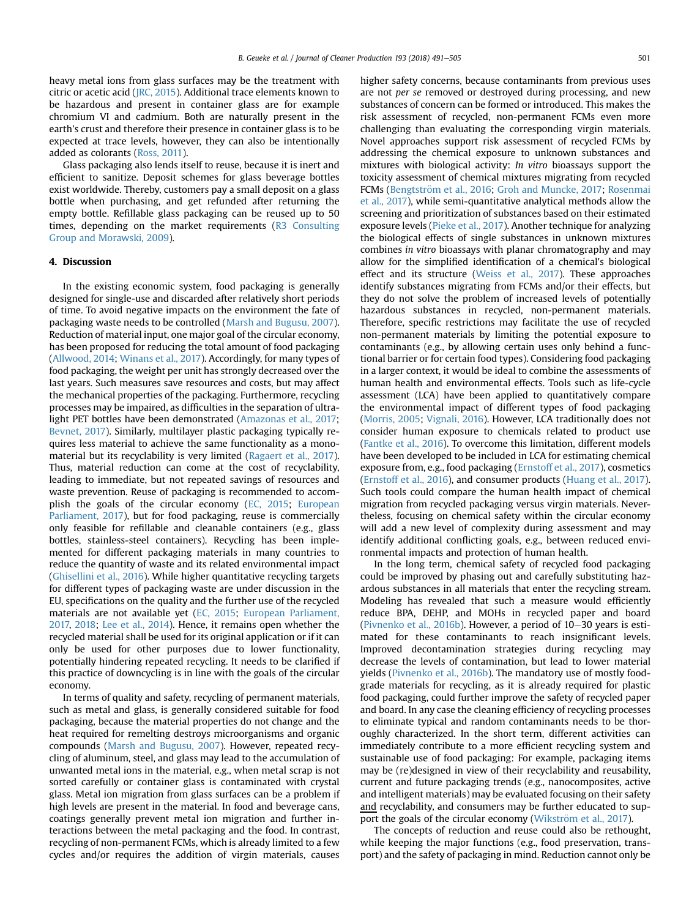heavy metal ions from glass surfaces may be the treatment with citric or acetic acid ([JRC, 2015](#page-13-0)). Additional trace elements known to be hazardous and present in container glass are for example chromium VI and cadmium. Both are naturally present in the earth's crust and therefore their presence in container glass is to be expected at trace levels, however, they can also be intentionally added as colorants ([Ross, 2011\)](#page-13-0).

Glass packaging also lends itself to reuse, because it is inert and efficient to sanitize. Deposit schemes for glass beverage bottles exist worldwide. Thereby, customers pay a small deposit on a glass bottle when purchasing, and get refunded after returning the empty bottle. Refillable glass packaging can be reused up to 50 times, depending on the market requirements [\(R3 Consulting](#page-13-0) [Group and Morawski, 2009](#page-13-0)).

### 4. Discussion

In the existing economic system, food packaging is generally designed for single-use and discarded after relatively short periods of time. To avoid negative impacts on the environment the fate of packaging waste needs to be controlled ([Marsh and Bugusu, 2007\)](#page-13-0). Reduction of material input, one major goal of the circular economy, has been proposed for reducing the total amount of food packaging ([Allwood, 2014;](#page-11-0) [Winans et al., 2017\)](#page-14-0). Accordingly, for many types of food packaging, the weight per unit has strongly decreased over the last years. Such measures save resources and costs, but may affect the mechanical properties of the packaging. Furthermore, recycling processes may be impaired, as difficulties in the separation of ultralight PET bottles have been demonstrated ([Amazonas et al., 2017;](#page-11-0) [Bevnet, 2017](#page-11-0)). Similarly, multilayer plastic packaging typically requires less material to achieve the same functionality as a monomaterial but its recyclability is very limited [\(Ragaert et al., 2017\)](#page-13-0). Thus, material reduction can come at the cost of recyclability, leading to immediate, but not repeated savings of resources and waste prevention. Reuse of packaging is recommended to accomplish the goals of the circular economy ([EC, 2015;](#page-12-0) [European](#page-12-0) [Parliament, 2017\)](#page-12-0), but for food packaging, reuse is commercially only feasible for refillable and cleanable containers (e.g., glass bottles, stainless-steel containers). Recycling has been implemented for different packaging materials in many countries to reduce the quantity of waste and its related environmental impact ([Ghisellini et al., 2016](#page-12-0)). While higher quantitative recycling targets for different types of packaging waste are under discussion in the EU, specifications on the quality and the further use of the recycled materials are not available yet ([EC, 2015;](#page-12-0) [European Parliament,](#page-12-0) [2017,](#page-12-0) [2018;](#page-12-0) [Lee et al., 2014](#page-13-0)). Hence, it remains open whether the recycled material shall be used for its original application or if it can only be used for other purposes due to lower functionality, potentially hindering repeated recycling. It needs to be clarified if this practice of downcycling is in line with the goals of the circular economy.

In terms of quality and safety, recycling of permanent materials, such as metal and glass, is generally considered suitable for food packaging, because the material properties do not change and the heat required for remelting destroys microorganisms and organic compounds [\(Marsh and Bugusu, 2007](#page-13-0)). However, repeated recycling of aluminum, steel, and glass may lead to the accumulation of unwanted metal ions in the material, e.g., when metal scrap is not sorted carefully or container glass is contaminated with crystal glass. Metal ion migration from glass surfaces can be a problem if high levels are present in the material. In food and beverage cans, coatings generally prevent metal ion migration and further interactions between the metal packaging and the food. In contrast, recycling of non-permanent FCMs, which is already limited to a few cycles and/or requires the addition of virgin materials, causes

higher safety concerns, because contaminants from previous uses are not per se removed or destroyed during processing, and new substances of concern can be formed or introduced. This makes the risk assessment of recycled, non-permanent FCMs even more challenging than evaluating the corresponding virgin materials. Novel approaches support risk assessment of recycled FCMs by addressing the chemical exposure to unknown substances and mixtures with biological activity: In vitro bioassays support the toxicity assessment of chemical mixtures migrating from recycled FCMs [\(Bengtstr](#page-11-0)ö[m et al., 2016](#page-11-0); [Groh and Muncke, 2017](#page-12-0); [Rosenmai](#page-13-0) [et al., 2017](#page-13-0)), while semi-quantitative analytical methods allow the screening and prioritization of substances based on their estimated exposure levels [\(Pieke et al., 2017](#page-13-0)). Another technique for analyzing the biological effects of single substances in unknown mixtures combines in vitro bioassays with planar chromatography and may allow for the simplified identification of a chemical's biological effect and its structure ([Weiss et al., 2017](#page-14-0)). These approaches identify substances migrating from FCMs and/or their effects, but they do not solve the problem of increased levels of potentially hazardous substances in recycled, non-permanent materials. Therefore, specific restrictions may facilitate the use of recycled non-permanent materials by limiting the potential exposure to contaminants (e.g., by allowing certain uses only behind a functional barrier or for certain food types). Considering food packaging in a larger context, it would be ideal to combine the assessments of human health and environmental effects. Tools such as life-cycle assessment (LCA) have been applied to quantitatively compare the environmental impact of different types of food packaging ([Morris, 2005](#page-13-0); [Vignali, 2016](#page-14-0)). However, LCA traditionally does not consider human exposure to chemicals related to product use ([Fantke et al., 2016](#page-12-0)). To overcome this limitation, different models have been developed to be included in LCA for estimating chemical exposure from, e.g., food packaging ([Ernstoff et al., 2017\)](#page-12-0), cosmetics ([Ernstoff et al., 2016](#page-12-0)), and consumer products ([Huang et al., 2017\)](#page-12-0). Such tools could compare the human health impact of chemical migration from recycled packaging versus virgin materials. Nevertheless, focusing on chemical safety within the circular economy will add a new level of complexity during assessment and may identify additional conflicting goals, e.g., between reduced environmental impacts and protection of human health.

In the long term, chemical safety of recycled food packaging could be improved by phasing out and carefully substituting hazardous substances in all materials that enter the recycling stream. Modeling has revealed that such a measure would efficiently reduce BPA, DEHP, and MOHs in recycled paper and board ([Pivnenko et al., 2016b\)](#page-13-0). However, a period of  $10-30$  years is estimated for these contaminants to reach insignificant levels. Improved decontamination strategies during recycling may decrease the levels of contamination, but lead to lower material yields [\(Pivnenko et al., 2016b\)](#page-13-0). The mandatory use of mostly foodgrade materials for recycling, as it is already required for plastic food packaging, could further improve the safety of recycled paper and board. In any case the cleaning efficiency of recycling processes to eliminate typical and random contaminants needs to be thoroughly characterized. In the short term, different activities can immediately contribute to a more efficient recycling system and sustainable use of food packaging: For example, packaging items may be (re)designed in view of their recyclability and reusability, current and future packaging trends (e.g., nanocomposites, active and intelligent materials) may be evaluated focusing on their safety and recyclability, and consumers may be further educated to support the goals of the circular economy (Wikström et al., 2017).

The concepts of reduction and reuse could also be rethought, while keeping the major functions (e.g., food preservation, transport) and the safety of packaging in mind. Reduction cannot only be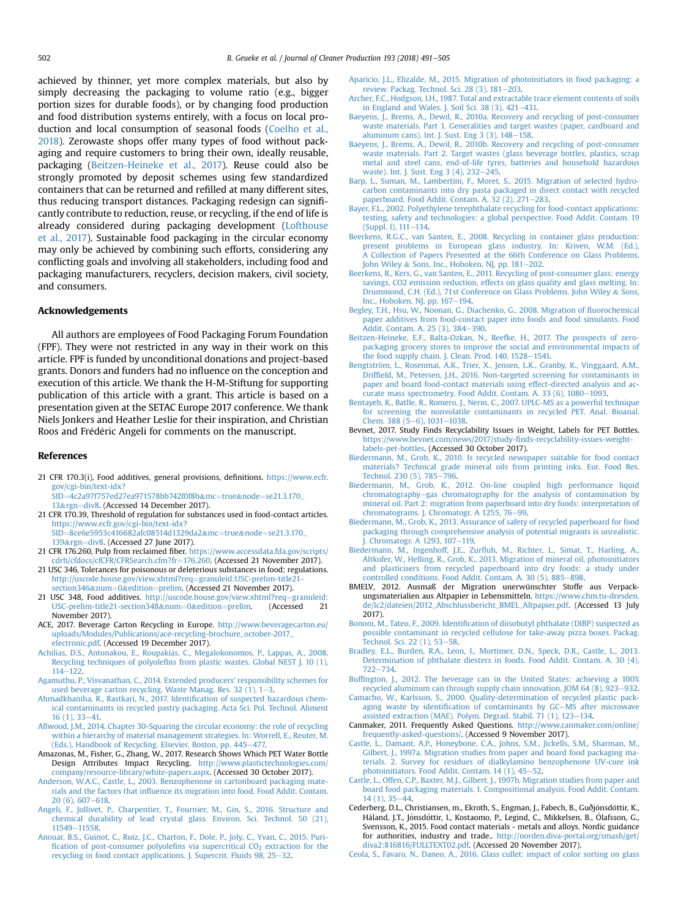<span id="page-11-0"></span>achieved by thinner, yet more complex materials, but also by simply decreasing the packaging to volume ratio (e.g., bigger portion sizes for durable foods), or by changing food production and food distribution systems entirely, with a focus on local production and local consumption of seasonal foods ([Coelho et al.,](#page-12-0) [2018\)](#page-12-0). Zerowaste shops offer many types of food without packaging and require customers to bring their own, ideally reusable, packaging (Beitzen-Heineke et al., 2017). Reuse could also be strongly promoted by deposit schemes using few standardized containers that can be returned and refilled at many different sites, thus reducing transport distances. Packaging redesign can significantly contribute to reduction, reuse, or recycling, if the end of life is already considered during packaging development ([Lofthouse](#page-13-0) [et al., 2017](#page-13-0)). Sustainable food packaging in the circular economy may only be achieved by combining such efforts, considering any conflicting goals and involving all stakeholders, including food and packaging manufacturers, recyclers, decision makers, civil society, and consumers.

#### Acknowledgements

All authors are employees of Food Packaging Forum Foundation (FPF). They were not restricted in any way in their work on this article. FPF is funded by unconditional donations and project-based grants. Donors and funders had no influence on the conception and execution of this article. We thank the H-M-Stiftung for supporting publication of this article with a grant. This article is based on a presentation given at the SETAC Europe 2017 conference. We thank Niels Jonkers and Heather Leslie for their inspiration, and Christian Roos and Frédéric Angeli for comments on the manuscript.

#### References

- 21 CFR 170.3(i), Food additives, general provisions, definitions. [https://www.ecfr.](https://www.ecfr.gov/cgi-bin/text-idx?SID=4c2a97f757ed27ea971578bb742f0f8b&mc=true&node=se21.3.170_13&rgn=div8) [gov/cgi-bin/text-idx?](https://www.ecfr.gov/cgi-bin/text-idx?SID=4c2a97f757ed27ea971578bb742f0f8b&mc=true&node=se21.3.170_13&rgn=div8)
	- [SID](https://www.ecfr.gov/cgi-bin/text-idx?SID=4c2a97f757ed27ea971578bb742f0f8b&mc=true&node=se21.3.170_13&rgn=div8)=[4c2a97f757ed27ea971578bb742f0f8b](https://www.ecfr.gov/cgi-bin/text-idx?SID=4c2a97f757ed27ea971578bb742f0f8b&mc=true&node=se21.3.170_13&rgn=div8)&[mc](https://www.ecfr.gov/cgi-bin/text-idx?SID=4c2a97f757ed27ea971578bb742f0f8b&mc=true&node=se21.3.170_13&rgn=div8)=[true](https://www.ecfr.gov/cgi-bin/text-idx?SID=4c2a97f757ed27ea971578bb742f0f8b&mc=true&node=se21.3.170_13&rgn=div8)&[node](https://www.ecfr.gov/cgi-bin/text-idx?SID=4c2a97f757ed27ea971578bb742f0f8b&mc=true&node=se21.3.170_13&rgn=div8)=[se21.3.170\\_](https://www.ecfr.gov/cgi-bin/text-idx?SID=4c2a97f757ed27ea971578bb742f0f8b&mc=true&node=se21.3.170_13&rgn=div8) [13](https://www.ecfr.gov/cgi-bin/text-idx?SID=4c2a97f757ed27ea971578bb742f0f8b&mc=true&node=se21.3.170_13&rgn=div8)&[rgn](https://www.ecfr.gov/cgi-bin/text-idx?SID=4c2a97f757ed27ea971578bb742f0f8b&mc=true&node=se21.3.170_13&rgn=div8)=[div8.](https://www.ecfr.gov/cgi-bin/text-idx?SID=4c2a97f757ed27ea971578bb742f0f8b&mc=true&node=se21.3.170_13&rgn=div8) (Accessed 14 December 2017).
- 21 CFR 170.39, Threshold of regulation for substances used in food-contact articles. [https://www.ecfr.gov/cgi-bin/text-idx?](https://www.ecfr.gov/cgi-bin/text-idx?SID=8ce6e5953c416682afc08514d1329da2&mc=true&node=se21.3.170_139&rgn=div8)
- [SID](https://www.ecfr.gov/cgi-bin/text-idx?SID=8ce6e5953c416682afc08514d1329da2&mc=true&node=se21.3.170_139&rgn=div8)=[8ce6e5953c416682afc08514d1329da2](https://www.ecfr.gov/cgi-bin/text-idx?SID=8ce6e5953c416682afc08514d1329da2&mc=true&node=se21.3.170_139&rgn=div8)&[mc](https://www.ecfr.gov/cgi-bin/text-idx?SID=8ce6e5953c416682afc08514d1329da2&mc=true&node=se21.3.170_139&rgn=div8)=[true](https://www.ecfr.gov/cgi-bin/text-idx?SID=8ce6e5953c416682afc08514d1329da2&mc=true&node=se21.3.170_139&rgn=div8)&[node](https://www.ecfr.gov/cgi-bin/text-idx?SID=8ce6e5953c416682afc08514d1329da2&mc=true&node=se21.3.170_139&rgn=div8)=[se21.3.170\\_](https://www.ecfr.gov/cgi-bin/text-idx?SID=8ce6e5953c416682afc08514d1329da2&mc=true&node=se21.3.170_139&rgn=div8) [139](https://www.ecfr.gov/cgi-bin/text-idx?SID=8ce6e5953c416682afc08514d1329da2&mc=true&node=se21.3.170_139&rgn=div8)&[rgn](https://www.ecfr.gov/cgi-bin/text-idx?SID=8ce6e5953c416682afc08514d1329da2&mc=true&node=se21.3.170_139&rgn=div8)=[div8](https://www.ecfr.gov/cgi-bin/text-idx?SID=8ce6e5953c416682afc08514d1329da2&mc=true&node=se21.3.170_139&rgn=div8). (Accessed 27 June 2017).
- 21 CFR 176.260, Pulp from reclaimed fiber. [https://www.accessdata.fda.gov/scripts/](https://www.accessdata.fda.gov/scripts/cdrh/cfdocs/cfCFR/CFRSearch.cfm?fr=176.260) [cdrh/cfdocs/cfCFR/CFRSearch.cfm?fr](https://www.accessdata.fda.gov/scripts/cdrh/cfdocs/cfCFR/CFRSearch.cfm?fr=176.260)=[176.260.](https://www.accessdata.fda.gov/scripts/cdrh/cfdocs/cfCFR/CFRSearch.cfm?fr=176.260) (Accessed 21 November 2017).
- 21 USC 346, Tolerances for poisonous or deleterious substances in food; regulations. [http://uscode.house.gov/view.xhtml?req](http://uscode.house.gov/view.xhtml?req=granuleid:USC-prelim-title21-section346&num=0&edition=prelim)=[granuleid:USC-prelim-title21](http://uscode.house.gov/view.xhtml?req=granuleid:USC-prelim-title21-section346&num=0&edition=prelim) [section346](http://uscode.house.gov/view.xhtml?req=granuleid:USC-prelim-title21-section346&num=0&edition=prelim)&[num](http://uscode.house.gov/view.xhtml?req=granuleid:USC-prelim-title21-section346&num=0&edition=prelim)=[0](http://uscode.house.gov/view.xhtml?req=granuleid:USC-prelim-title21-section346&num=0&edition=prelim)&[edition](http://uscode.house.gov/view.xhtml?req=granuleid:USC-prelim-title21-section346&num=0&edition=prelim)=[prelim](http://uscode.house.gov/view.xhtml?req=granuleid:USC-prelim-title21-section346&num=0&edition=prelim). (Accessed 21 November 2017).
- 21 USC 348, Food additives. [http://uscode.house.gov/view.xhtml?req](http://uscode.house.gov/view.xhtml?req=granuleid:USC-prelim-title21-section348&num=0&edition=prelim)=[granuleid:](http://uscode.house.gov/view.xhtml?req=granuleid:USC-prelim-title21-section348&num=0&edition=prelim)<br>USC-prelim-title21-section348&num=0&edition=prelim. (Accessed 21 [USC-prelim-title21-section348](http://uscode.house.gov/view.xhtml?req=granuleid:USC-prelim-title21-section348&num=0&edition=prelim)&[num](http://uscode.house.gov/view.xhtml?req=granuleid:USC-prelim-title21-section348&num=0&edition=prelim)=[0](http://uscode.house.gov/view.xhtml?req=granuleid:USC-prelim-title21-section348&num=0&edition=prelim)&[edition](http://uscode.house.gov/view.xhtml?req=granuleid:USC-prelim-title21-section348&num=0&edition=prelim)=[prelim.](http://uscode.house.gov/view.xhtml?req=granuleid:USC-prelim-title21-section348&num=0&edition=prelim) November 2017).
- ACE, 2017. Beverage Carton Recycling in Europe. [http://www.beveragecarton.eu/](http://www.beveragecarton.eu/uploads/Modules/Publications/ace-recycling-brochure_october-2017_electronic.pdf) [uploads/Modules/Publications/ace-recycling-brochure\\_october-2017\\_](http://www.beveragecarton.eu/uploads/Modules/Publications/ace-recycling-brochure_october-2017_electronic.pdf) [electronic.pdf](http://www.beveragecarton.eu/uploads/Modules/Publications/ace-recycling-brochure_october-2017_electronic.pdf). (Accessed 19 December 2017).
- [Achilias, D.S., Antonakou, E., Roupakias, C., Megalokonomos, P., Lappas, A., 2008.](http://refhub.elsevier.com/S0959-6526(18)31332-5/sref7) Recycling techniques of polyolefi[ns from plastic wastes. Global NEST J. 10 \(1\),](http://refhub.elsevier.com/S0959-6526(18)31332-5/sref7)  $114 - 122$  $114 - 122$ .
- [Agamuthu, P., Visvanathan, C., 2014. Extended producers' responsibility schemes for](http://refhub.elsevier.com/S0959-6526(18)31332-5/sref8) used beverage carton recycling. Waste Manag. Res. [3](http://refhub.elsevier.com/S0959-6526(18)31332-5/sref8)2  $(1)$ ,  $1-3$ .
- [Ahmadkhaniha, R., Rastkari, N., 2017. Identi](http://refhub.elsevier.com/S0959-6526(18)31332-5/sref9)fication of suspected hazardous chem[ical contaminants in recycled pastry packaging. Acta Sci. Pol. Technol. Aliment](http://refhub.elsevier.com/S0959-6526(18)31332-5/sref9)  $16(1), 33-41.$  $16(1), 33-41.$
- [Allwood, J.M., 2014. Chapter 30-Squaring the circular economy: the role of recycling](http://refhub.elsevier.com/S0959-6526(18)31332-5/sref10) [within a hierarchy of material management strategies. In: Worrell, E., Reuter, M.](http://refhub.elsevier.com/S0959-6526(18)31332-5/sref10) [\(Eds.\), Handbook of Recycling. Elsevier, Boston, pp. 445](http://refhub.elsevier.com/S0959-6526(18)31332-5/sref10)-[477.](http://refhub.elsevier.com/S0959-6526(18)31332-5/sref10)
- Amazonas, M., Fisher, G., Zhang, W., 2017. Research Shows Which PET Water Bottle Design Attributes Impact Recycling. [http://www.plastictechnologies.com/](http://www.plastictechnologies.com/company/resource-library/white-papers.aspx) [company/resource-library/white-papers.aspx](http://www.plastictechnologies.com/company/resource-library/white-papers.aspx). (Accessed 30 October 2017).
- [Anderson, W.A.C., Castle, L., 2003. Benzophenone in cartonboard packaging mate](http://refhub.elsevier.com/S0959-6526(18)31332-5/sref12)rials and the factors that infl[uence its migration into food. Food Addit. Contam.](http://refhub.elsevier.com/S0959-6526(18)31332-5/sref12)  $20(6)$ , 607-618
- [Angeli, F., Jollivet, P., Charpentier, T., Fournier, M., Gin, S., 2016. Structure and](http://refhub.elsevier.com/S0959-6526(18)31332-5/sref13) [chemical durability of lead crystal glass. Environ. Sci. Technol. 50 \(21\),](http://refhub.elsevier.com/S0959-6526(18)31332-5/sref13) [11549](http://refhub.elsevier.com/S0959-6526(18)31332-5/sref13)-[11558](http://refhub.elsevier.com/S0959-6526(18)31332-5/sref13).
- [Anouar, B.S., Guinot, C., Ruiz, J.C., Charton, F., Dole, P., Joly, C., Yvan, C., 2015. Puri](http://refhub.elsevier.com/S0959-6526(18)31332-5/sref14)fi[cation of post-consumer polyole](http://refhub.elsevier.com/S0959-6526(18)31332-5/sref14)fins via supercritical  $CO<sub>2</sub>$  [extraction for the](http://refhub.elsevier.com/S0959-6526(18)31332-5/sref14) [recycling in food contact applications. J. Supercrit. Fluids 98, 25](http://refhub.elsevier.com/S0959-6526(18)31332-5/sref14)-[32](http://refhub.elsevier.com/S0959-6526(18)31332-5/sref14).
- [Aparicio, J.L., Elizalde, M., 2015. Migration of photoinitiators in food packaging: a](http://refhub.elsevier.com/S0959-6526(18)31332-5/sref15) review. Packag. Technol. Sci. 28  $(3)$ , 181-[203](http://refhub.elsevier.com/S0959-6526(18)31332-5/sref15).
- [Archer, F.C., Hodgson, I.H., 1987. Total and extractable trace element contents of soils](http://refhub.elsevier.com/S0959-6526(18)31332-5/sref17) in England and Wales. J. Soil Sci. 38  $(3)$ ,  $421-431$ .
- [Baeyens, J., Brems, A., Dewil, R., 2010a. Recovery and recycling of post-consumer](http://refhub.elsevier.com/S0959-6526(18)31332-5/sref19) [waste materials. Part 1. Generalities and target wastes \(paper, cardboard and](http://refhub.elsevier.com/S0959-6526(18)31332-5/sref19) aluminum cans). Int. J. Sust. Eng  $3(3)$ ,  $148-158$  $148-158$ .
- [Baeyens, J., Brems, A., Dewil, R., 2010b. Recovery and recycling of post-consumer](http://refhub.elsevier.com/S0959-6526(18)31332-5/sref20) [waste materials. Part 2. Target wastes \(glass beverage bottles, plastics, scrap](http://refhub.elsevier.com/S0959-6526(18)31332-5/sref20) [metal and steel cans, end-of-life tyres, batteries and household hazardous](http://refhub.elsevier.com/S0959-6526(18)31332-5/sref20) waste). Int. I. Sust. Eng 3 (4), 232-[245](http://refhub.elsevier.com/S0959-6526(18)31332-5/sref20).
- [Barp, L., Suman, M., Lambertini, F., Moret, S., 2015. Migration of selected hydro](http://refhub.elsevier.com/S0959-6526(18)31332-5/sref21)[carbon contaminants into dry pasta packaged in direct contact with recycled](http://refhub.elsevier.com/S0959-6526(18)31332-5/sref21) paperboard. Food Addit. Contam. A.  $32$  (2),  $271-283$  $271-283$ .
- [Bayer, F.L., 2002. Polyethylene terephthalate recycling for food-contact applications:](http://refhub.elsevier.com/S0959-6526(18)31332-5/sref22) [testing, safety and technologies: a global perspective. Food Addit. Contam. 19](http://refhub.elsevier.com/S0959-6526(18)31332-5/sref22)  $(Sumbel 1)$ , 111-[134.](http://refhub.elsevier.com/S0959-6526(18)31332-5/sref22)
- [Beerkens, R.G.C., van Santen, E., 2008. Recycling in container glass production:](http://refhub.elsevier.com/S0959-6526(18)31332-5/sref23) [present problems in European glass industry. In: Kriven, W.M. \(Ed.\),](http://refhub.elsevier.com/S0959-6526(18)31332-5/sref23) [A Collection of Papers Presented at the 66th Conference on Glass Problems.](http://refhub.elsevier.com/S0959-6526(18)31332-5/sref23) [John Wiley](http://refhub.elsevier.com/S0959-6526(18)31332-5/sref23) & [Sons, Inc., Hoboken, NJ, pp. 181](http://refhub.elsevier.com/S0959-6526(18)31332-5/sref23)-[202.](http://refhub.elsevier.com/S0959-6526(18)31332-5/sref23)
- [Beerkens, R., Kers, G., van Santen, E., 2011. Recycling of post-consumer glass: energy](http://refhub.elsevier.com/S0959-6526(18)31332-5/sref24) [savings, CO2 emission reduction, effects on glass quality and glass melting. In:](http://refhub.elsevier.com/S0959-6526(18)31332-5/sref24) [Drummond, C.H. \(Ed.\), 71st Conference on Glass Problems. John Wiley](http://refhub.elsevier.com/S0959-6526(18)31332-5/sref24) & [Sons,](http://refhub.elsevier.com/S0959-6526(18)31332-5/sref24) [Inc., Hoboken, NJ, pp. 167](http://refhub.elsevier.com/S0959-6526(18)31332-5/sref24)-[194](http://refhub.elsevier.com/S0959-6526(18)31332-5/sref24).
- [Begley, T.H., Hsu, W., Noonan, G., Diachenko, G., 2008. Migration of](http://refhub.elsevier.com/S0959-6526(18)31332-5/sref25) fluorochemical [paper additives from food-contact paper into foods and food simulants. Food](http://refhub.elsevier.com/S0959-6526(18)31332-5/sref25) [Addit. Contam. A. 25 \(3\), 384](http://refhub.elsevier.com/S0959-6526(18)31332-5/sref25)-[390](http://refhub.elsevier.com/S0959-6526(18)31332-5/sref25).
- [Beitzen-Heineke, E.F., Balta-Ozkan, N., Reefke, H., 2017. The prospects of zero](http://refhub.elsevier.com/S0959-6526(18)31332-5/sref26)[packaging grocery stores to improve the social and environmental impacts of](http://refhub.elsevier.com/S0959-6526(18)31332-5/sref26) [the food supply chain. J. Clean. Prod. 140, 1528](http://refhub.elsevier.com/S0959-6526(18)31332-5/sref26)-[1541.](http://refhub.elsevier.com/S0959-6526(18)31332-5/sref26)
- [Bengtstr](http://refhub.elsevier.com/S0959-6526(18)31332-5/sref27)ö[m, L., Rosenmai, A.K., Trier, X., Jensen, L.K., Granby, K., Vinggaard, A.M.,](http://refhub.elsevier.com/S0959-6526(18)31332-5/sref27) Driffi[eld, M., Petersen, J.H., 2016. Non-targeted screening for contaminants in](http://refhub.elsevier.com/S0959-6526(18)31332-5/sref27) [paper and board food-contact materials using effect-directed analysis and ac](http://refhub.elsevier.com/S0959-6526(18)31332-5/sref27)[curate mass spectrometry. Food Addit. Contam. A. 33 \(6\), 1080](http://refhub.elsevier.com/S0959-6526(18)31332-5/sref27)-[1093.](http://refhub.elsevier.com/S0959-6526(18)31332-5/sref27)
- [Bentayeb, K., Batlle, R., Romero, J., Nerin, C., 2007. UPLC-MS as a powerful technique](http://refhub.elsevier.com/S0959-6526(18)31332-5/sref28) [for screening the nonvolatile contaminants in recycled PET. Anal. Bioanal.](http://refhub.elsevier.com/S0959-6526(18)31332-5/sref28) Chem. 388  $(5-6)$ , 1031-[1038.](http://refhub.elsevier.com/S0959-6526(18)31332-5/sref28)
- Bevnet, 2017. Study Finds Recyclability Issues in Weight, Labels for PET Bottles. [https://www.bevnet.com/news/2017/study-](https://www.bevnet.com/news/2017/study-finds-recyclability-issues-weight-labels-pet-bottles)finds-recyclability-issues-weight[labels-pet-bottles.](https://www.bevnet.com/news/2017/study-finds-recyclability-issues-weight-labels-pet-bottles) (Accessed 30 October 2017).
- [Biedermann, M., Grob, K., 2010. Is recycled newspaper suitable for food contact](http://refhub.elsevier.com/S0959-6526(18)31332-5/sref30) [materials? Technical grade mineral oils from printing inks. Eur. Food Res.](http://refhub.elsevier.com/S0959-6526(18)31332-5/sref30) [Technol. 230 \(5\), 785](http://refhub.elsevier.com/S0959-6526(18)31332-5/sref30)-[796.](http://refhub.elsevier.com/S0959-6526(18)31332-5/sref30)
- [Biedermann, M., Grob, K., 2012. On-line coupled high performance liquid](http://refhub.elsevier.com/S0959-6526(18)31332-5/sref31) [chromatography](http://refhub.elsevier.com/S0959-6526(18)31332-5/sref31)-[gas chromatography for the analysis of contamination by](http://refhub.elsevier.com/S0959-6526(18)31332-5/sref31) [mineral oil. Part 2: migration from paperboard into dry foods: interpretation of](http://refhub.elsevier.com/S0959-6526(18)31332-5/sref31) [chromatograms. J. Chromatogr. A 1255, 76](http://refhub.elsevier.com/S0959-6526(18)31332-5/sref31)-[99](http://refhub.elsevier.com/S0959-6526(18)31332-5/sref31).
- [Biedermann, M., Grob, K., 2013. Assurance of safety of recycled paperboard for food](http://refhub.elsevier.com/S0959-6526(18)31332-5/sref32) [packaging through comprehensive analysis of potential migrants is unrealistic.](http://refhub.elsevier.com/S0959-6526(18)31332-5/sref32) [J. Chromatogr. A 1293, 107](http://refhub.elsevier.com/S0959-6526(18)31332-5/sref32)-[119.](http://refhub.elsevier.com/S0959-6526(18)31332-5/sref32)
- Biedermann, M., Ingenhoff, J.E., Zurfl[uh, M., Richter, L., Simat, T., Harling, A.,](http://refhub.elsevier.com/S0959-6526(18)31332-5/sref33) [Altkofer, W., Helling, R., Grob, K., 2013. Migration of mineral oil, photoinitiators](http://refhub.elsevier.com/S0959-6526(18)31332-5/sref33) [and plasticisers from recycled paperboard into dry foods: a study under](http://refhub.elsevier.com/S0959-6526(18)31332-5/sref33) [controlled conditions. Food Addit. Contam. A. 30 \(5\), 885](http://refhub.elsevier.com/S0959-6526(18)31332-5/sref33)-[898.](http://refhub.elsevier.com/S0959-6526(18)31332-5/sref33)
- BMELV, 2012. Ausmaß der Migration unerwünschter Stoffe aus Verpackungsmaterialien aus Altpapier in Lebensmitteln. [https://www.chm.tu-dresden.](https://www.chm.tu-dresden.de/lc2/dateien/2012_Abschlussbericht_BMEL_Altpapier.pdf) [de/lc2/dateien/2012\\_Abschlussbericht\\_BMEL\\_Altpapier.pdf](https://www.chm.tu-dresden.de/lc2/dateien/2012_Abschlussbericht_BMEL_Altpapier.pdf). (Accessed 13 July 2017).
- Bononi, M., Tateo, F., 2009. Identifi[cation of diisobutyl phthalate \(DIBP\) suspected as](http://refhub.elsevier.com/S0959-6526(18)31332-5/sref35) [possible contaminant in recycled cellulose for take-away pizza boxes. Packag.](http://refhub.elsevier.com/S0959-6526(18)31332-5/sref35) [Technol. Sci. 22 \(1\), 53](http://refhub.elsevier.com/S0959-6526(18)31332-5/sref35)-[58](http://refhub.elsevier.com/S0959-6526(18)31332-5/sref35).
- [Bradley, E.L., Burden, R.A., Leon, I., Mortimer, D.N., Speck, D.R., Castle, L., 2013.](http://refhub.elsevier.com/S0959-6526(18)31332-5/sref36) [Determination of phthalate diesters in foods. Food Addit. Contam. A. 30 \(4\),](http://refhub.elsevier.com/S0959-6526(18)31332-5/sref36) [722](http://refhub.elsevier.com/S0959-6526(18)31332-5/sref36)-[734](http://refhub.elsevier.com/S0959-6526(18)31332-5/sref36).
- Buffi[ngton, J., 2012. The beverage can in the United States: achieving a 100%](http://refhub.elsevier.com/S0959-6526(18)31332-5/sref37) recycled aluminum can through supply chain innovation. JOM 64 (8),  $923-932$  $923-932$ .
- [Camacho, W., Karlsson, S., 2000. Quality-determination of recycled plastic pack](http://refhub.elsevier.com/S0959-6526(18)31332-5/sref38)aging waste by identifi[cation of contaminants by GC](http://refhub.elsevier.com/S0959-6526(18)31332-5/sref38)-[MS after microwave](http://refhub.elsevier.com/S0959-6526(18)31332-5/sref38) [assisted extraction \(MAE\). Polym. Degrad. Stabil. 71 \(1\), 123](http://refhub.elsevier.com/S0959-6526(18)31332-5/sref38)-[134](http://refhub.elsevier.com/S0959-6526(18)31332-5/sref38).
- Canmaker, 2011. Frequently Asked Questions. [http://www.canmaker.com/online/](http://www.canmaker.com/online/frequently-asked-questions/) [frequently-asked-questions/.](http://www.canmaker.com/online/frequently-asked-questions/) (Accessed 9 November 2017).
- [Castle, L., Damant, A.P., Honeybone, C.A., Johns, S.M., Jickells, S.M., Sharman, M.,](http://refhub.elsevier.com/S0959-6526(18)31332-5/sref40) [Gilbert, J., 1997a. Migration studies from paper and board food packaging ma-](http://refhub.elsevier.com/S0959-6526(18)31332-5/sref40)[terials. 2. Survey for residues of dialkylamino benzophenone UV-cure ink](http://refhub.elsevier.com/S0959-6526(18)31332-5/sref40) photoinitiators. Food Addit. Contam.  $14$  (1), 45-[52](http://refhub.elsevier.com/S0959-6526(18)31332-5/sref40).
- [Castle, L., Offen, C.P., Baxter, M.J., Gilbert, J., 1997b. Migration studies from paper and](http://refhub.elsevier.com/S0959-6526(18)31332-5/sref41) [board food packaging materials. 1. Compositional analysis. Food Addit. Contam.](http://refhub.elsevier.com/S0959-6526(18)31332-5/sref41)  $14(1), 35-44.$  $14(1), 35-44.$
- Cederberg, D.L., Christiansen, m., Ekroth, S., Engman, J., Fabech, B., Guðjónsdóttir, K., Håland, J.T., Jónsdóttir, I., Kostaomo, P., Legind, C., Mikkelsen, B., Ólafsson, G., Svensson, K., 2015. Food contact materials - metals and alloys. Nordic guidance for authorities, industry and trade.. [http://norden.diva-portal.org/smash/get/](http://norden.diva-portal.org/smash/get/diva2:816816/FULLTEXT02.pdf) [diva2:816816/FULLTEXT02.pdf.](http://norden.diva-portal.org/smash/get/diva2:816816/FULLTEXT02.pdf) (Accessed 20 November 2017).
- [Ceola, S., Favaro, N., Daneo, A., 2016. Glass cullet: impact of color sorting on glass](http://refhub.elsevier.com/S0959-6526(18)31332-5/sref43)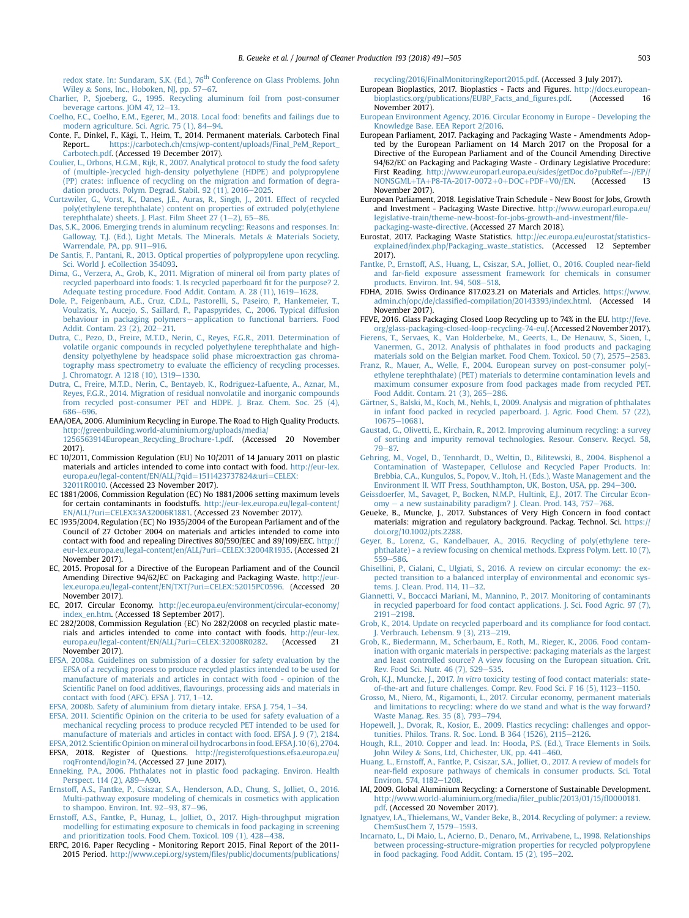<span id="page-12-0"></span>[redox](http://refhub.elsevier.com/S0959-6526(18)31332-5/sref43) [state.](http://refhub.elsevier.com/S0959-6526(18)31332-5/sref43) [In:](http://refhub.elsevier.com/S0959-6526(18)31332-5/sref43) [Sundaram,](http://refhub.elsevier.com/S0959-6526(18)31332-5/sref43) [S.K.](http://refhub.elsevier.com/S0959-6526(18)31332-5/sref43) [\(Ed.\),](http://refhub.elsevier.com/S0959-6526(18)31332-5/sref43) [76](http://refhub.elsevier.com/S0959-6526(18)31332-5/sref43)<sup>th</sup> [Conference on Glass Problems. John](http://refhub.elsevier.com/S0959-6526(18)31332-5/sref43) [Wiley](http://refhub.elsevier.com/S0959-6526(18)31332-5/sref43) & Sons, Inc., Hoboken, NJ, pp.  $57-67$ .

- [Charlier, P., Sjoeberg, G., 1995. Recycling aluminum foil from post-consumer](http://refhub.elsevier.com/S0959-6526(18)31332-5/sref44) [beverage cartons. JOM 47, 12](http://refhub.elsevier.com/S0959-6526(18)31332-5/sref44)–[13](http://refhub.elsevier.com/S0959-6526(18)31332-5/sref44).
- [Coelho, F.C., Coelho, E.M., Egerer, M., 2018. Local food: bene](http://refhub.elsevier.com/S0959-6526(18)31332-5/sref45)fits and failings due to modern agriculture. Sci. Agric.  $75$  (1),  $84-94$  $84-94$ .
- Conte, F., Dinkel, F., Kägi, T., Heim, T., 2014. Permanent materials. Carbotech Final Report.. [https://carbotech.ch/cms/wp-content/uploads/Final\\_PeM\\_Report\\_](https://carbotech.ch/cms/wp-content/uploads/Final_PeM_Report_Carbotech.pdf) [Carbotech.pdf](https://carbotech.ch/cms/wp-content/uploads/Final_PeM_Report_Carbotech.pdf). (Accessed 19 December 2017).
- [Coulier, L., Orbons, H.G.M., Rijk, R., 2007. Analytical protocol to study the food safety](http://refhub.elsevier.com/S0959-6526(18)31332-5/sref47) [of \(multiple-\)recycled high-density polyethylene \(HDPE\) and polypropylene](http://refhub.elsevier.com/S0959-6526(18)31332-5/sref47) (PP) crates: infl[uence of recycling on the migration and formation of degra](http://refhub.elsevier.com/S0959-6526(18)31332-5/sref47)[dation products. Polym. Degrad. Stabil. 92 \(11\), 2016](http://refhub.elsevier.com/S0959-6526(18)31332-5/sref47)-[2025.](http://refhub.elsevier.com/S0959-6526(18)31332-5/sref47)
- [Curtzwiler, G., Vorst, K., Danes, J.E., Auras, R., Singh, J., 2011. Effect of recycled](http://refhub.elsevier.com/S0959-6526(18)31332-5/sref48) [poly\(ethylene terephthalate\) content on properties of extruded poly\(ethylene](http://refhub.elsevier.com/S0959-6526(18)31332-5/sref48) terephthalate) sheets. J. Plast. Film Sheet  $27(1-2)$ , 65-[86.](http://refhub.elsevier.com/S0959-6526(18)31332-5/sref48)
- [Das, S.K., 2006. Emerging trends in aluminum recycling: Reasons and responses. In:](http://refhub.elsevier.com/S0959-6526(18)31332-5/sref49) [Galloway, T.J. \(Ed.\), Light Metals. The Minerals. Metals](http://refhub.elsevier.com/S0959-6526(18)31332-5/sref49) & [Materials Society,](http://refhub.elsevier.com/S0959-6526(18)31332-5/sref49)
- [Warrendale, PA, pp. 911](http://refhub.elsevier.com/S0959-6526(18)31332-5/sref49)–[916.](http://refhub.elsevier.com/S0959-6526(18)31332-5/sref49)<br>[De Santis, F., Pantani, R., 2013. Optical properties of polypropylene upon recycling.](http://refhub.elsevier.com/S0959-6526(18)31332-5/sref50) Sci. World L eCollection 354093.
- [Dima, G., Verzera, A., Grob, K., 2011. Migration of mineral oil from party plates of](http://refhub.elsevier.com/S0959-6526(18)31332-5/sref51) [recycled paperboard into foods: 1. Is recycled paperboard](http://refhub.elsevier.com/S0959-6526(18)31332-5/sref51) fit for the purpose? 2. [Adequate testing procedure. Food Addit. Contam. A. 28 \(11\), 1619](http://refhub.elsevier.com/S0959-6526(18)31332-5/sref51)-[1628.](http://refhub.elsevier.com/S0959-6526(18)31332-5/sref51)
- [Dole, P., Feigenbaum, A.E., Cruz, C.D.L., Pastorelli, S., Paseiro, P., Hankemeier, T.,](http://refhub.elsevier.com/S0959-6526(18)31332-5/sref52) [Voulzatis, Y., Aucejo, S., Saillard, P., Papaspyrides, C., 2006. Typical diffusion](http://refhub.elsevier.com/S0959-6526(18)31332-5/sref52) [behaviour in packaging polymers](http://refhub.elsevier.com/S0959-6526(18)31332-5/sref52)—[application to functional barriers. Food](http://refhub.elsevier.com/S0959-6526(18)31332-5/sref52)<br>[Addit. Contam. 23 \(2\), 202](http://refhub.elsevier.com/S0959-6526(18)31332-5/sref52)—[211.](http://refhub.elsevier.com/S0959-6526(18)31332-5/sref52)
- [Dutra, C., Pezo, D., Freire, M.T.D., Nerin, C., Reyes, F.G.R., 2011. Determination of](http://refhub.elsevier.com/S0959-6526(18)31332-5/sref53) [volatile organic compounds in recycled polyethylene terephthalate and high](http://refhub.elsevier.com/S0959-6526(18)31332-5/sref53)[density polyethylene by headspace solid phase microextraction gas chroma](http://refhub.elsevier.com/S0959-6526(18)31332-5/sref53)[tography mass spectrometry to evaluate the ef](http://refhub.elsevier.com/S0959-6526(18)31332-5/sref53)ficiency of recycling processes. [J. Chromatogr. A 1218 \(10\), 1319](http://refhub.elsevier.com/S0959-6526(18)31332-5/sref53)-[1330](http://refhub.elsevier.com/S0959-6526(18)31332-5/sref53).
- [Dutra, C., Freire, M.T.D., Nerin, C., Bentayeb, K., Rodriguez-Lafuente, A., Aznar, M.,](http://refhub.elsevier.com/S0959-6526(18)31332-5/sref54) [Reyes, F.G.R., 2014. Migration of residual nonvolatile and inorganic compounds](http://refhub.elsevier.com/S0959-6526(18)31332-5/sref54) [from recycled post-consumer PET and HDPE. J. Braz. Chem. Soc. 25 \(4\),](http://refhub.elsevier.com/S0959-6526(18)31332-5/sref54) [686](http://refhub.elsevier.com/S0959-6526(18)31332-5/sref54)-[696](http://refhub.elsevier.com/S0959-6526(18)31332-5/sref54)
- EAA/OEA, 2006. Aluminium Recycling in Europe. The Road to High Quality Products. [http://greenbuilding.world-aluminium.org/uploads/media/](http://greenbuilding.world-aluminium.org/uploads/media/1256563914European_Recycling_Brochure-1.pdf) [1256563914European\\_Recycling\\_Brochure-1.pdf](http://greenbuilding.world-aluminium.org/uploads/media/1256563914European_Recycling_Brochure-1.pdf). (Accessed 20 November 2017).
- EC 10/2011, Commission Regulation (EU) No 10/2011 of 14 January 2011 on plastic materials and articles intended to come into contact with food. [http://eur-lex.](http://eur-lex.europa.eu/legal-content/EN/ALL/?qid=1511423737824&uri=CELEX:32011R0010) [europa.eu/legal-content/EN/ALL/?qid](http://eur-lex.europa.eu/legal-content/EN/ALL/?qid=1511423737824&uri=CELEX:32011R0010)=[1511423737824](http://eur-lex.europa.eu/legal-content/EN/ALL/?qid=1511423737824&uri=CELEX:32011R0010)&[uri](http://eur-lex.europa.eu/legal-content/EN/ALL/?qid=1511423737824&uri=CELEX:32011R0010)=[CELEX:](http://eur-lex.europa.eu/legal-content/EN/ALL/?qid=1511423737824&uri=CELEX:32011R0010) [32011R0010](http://eur-lex.europa.eu/legal-content/EN/ALL/?qid=1511423737824&uri=CELEX:32011R0010). (Accessed 23 November 2017).
- EC 1881/2006, Commission Regulation (EC) No 1881/2006 setting maximum levels for certain contaminants in foodstuffs. [http://eur-lex.europa.eu/legal-content/](http://eur-lex.europa.eu/legal-content/EN/ALL/?uri=CELEX%3A32006R1881) [EN/ALL/?uri](http://eur-lex.europa.eu/legal-content/EN/ALL/?uri=CELEX%3A32006R1881)=[CELEX%3A32006R1881.](http://eur-lex.europa.eu/legal-content/EN/ALL/?uri=CELEX%3A32006R1881) (Accessed 23 November 2017).
- EC 1935/2004, Regulation (EC) No 1935/2004 of the European Parliament and of the Council of 27 October 2004 on materials and articles intended to come into contact with food and repealing Directives 80/590/EEC and 89/109/EEC. [http://](http://eur-lex.europa.eu/legal-content/en/ALL/?uri=CELEX:32004R1935) [eur-lex.europa.eu/legal-content/en/ALL/?uri](http://eur-lex.europa.eu/legal-content/en/ALL/?uri=CELEX:32004R1935)=[CELEX:32004R1935](http://eur-lex.europa.eu/legal-content/en/ALL/?uri=CELEX:32004R1935). (Accessed 21 November 2017).
- EC, 2015. Proposal for a Directive of the European Parliament and of the Council Amending Directive 94/62/EC on Packaging and Packaging Waste. [http://eur](http://eur-lex.europa.eu/legal-content/EN/TXT/?uri=CELEX:52015PC0596)[lex.europa.eu/legal-content/EN/TXT/?uri](http://eur-lex.europa.eu/legal-content/EN/TXT/?uri=CELEX:52015PC0596)=[CELEX:52015PC0596](http://eur-lex.europa.eu/legal-content/EN/TXT/?uri=CELEX:52015PC0596). (Accessed 20 November 2017).
- EC, 2017. Circular Economy. [http://ec.europa.eu/environment/circular-economy/](http://ec.europa.eu/environment/circular-economy/index_en.htm) [index\\_en.htm](http://ec.europa.eu/environment/circular-economy/index_en.htm). (Accessed 18 September 2017).
- EC 282/2008, Commission Regulation (EC) No 282/2008 on recycled plastic materials and articles intended to come into contact with foods. [http://eur-lex.](http://eur-lex.europa.eu/legal-content/EN/ALL/?uri=CELEX:32008R0282) [europa.eu/legal-content/EN/ALL/?uri](http://eur-lex.europa.eu/legal-content/EN/ALL/?uri=CELEX:32008R0282)=[CELEX:32008R0282.](http://eur-lex.europa.eu/legal-content/EN/ALL/?uri=CELEX:32008R0282) November 2017).
- [EFSA, 2008a. Guidelines on submission of a dossier for safety evaluation by the](http://refhub.elsevier.com/S0959-6526(18)31332-5/sref62) [EFSA of a recycling process to produce recycled plastics intended to be used for](http://refhub.elsevier.com/S0959-6526(18)31332-5/sref62) [manufacture of materials and articles in contact with food - opinion of the](http://refhub.elsevier.com/S0959-6526(18)31332-5/sref62) Scientific Panel on food additives, fl[avourings, processing aids and materials in](http://refhub.elsevier.com/S0959-6526(18)31332-5/sref62) contact with food (AFC). EFSA J. 717,  $1-12$  $1-12$ .
- [EFSA, 2008b. Safety of aluminium from dietary intake. EFSA J. 754, 1](http://refhub.elsevier.com/S0959-6526(18)31332-5/sref63)-[34](http://refhub.elsevier.com/S0959-6526(18)31332-5/sref63).
- EFSA, 2011. Scientifi[c Opinion on the criteria to be used for safety evaluation of a](http://refhub.elsevier.com/S0959-6526(18)31332-5/sref64) [mechanical recycling process to produce recycled PET intended to be used for](http://refhub.elsevier.com/S0959-6526(18)31332-5/sref64) [manufacture of materials and articles in contact with food. EFSA J. 9 \(7\), 2184](http://refhub.elsevier.com/S0959-6526(18)31332-5/sref64).
- EFSA, 2012. Scientific Opinion on mineral oil hydrocarbons in food. EFSA J. 10 (6), 2704. EFSA, 2018. Register of Questions. [http://registerofquestions.efsa.europa.eu/](http://registerofquestions.efsa.europa.eu/roqFrontend/login?4) [roqFrontend/login?4.](http://registerofquestions.efsa.europa.eu/roqFrontend/login?4) (Accessed 27 June 2017).
- [Enneking, P.A., 2006. Phthalates not in plastic food packaging. Environ. Health](http://refhub.elsevier.com/S0959-6526(18)31332-5/sref68) [Perspect. 114 \(2\), A89](http://refhub.elsevier.com/S0959-6526(18)31332-5/sref68)-[A90](http://refhub.elsevier.com/S0959-6526(18)31332-5/sref68).
- [Ernstoff, A.S., Fantke, P., Csiszar, S.A., Henderson, A.D., Chung, S., Jolliet, O., 2016.](http://refhub.elsevier.com/S0959-6526(18)31332-5/sref69) [Multi-pathway exposure modeling of chemicals in cosmetics with application](http://refhub.elsevier.com/S0959-6526(18)31332-5/sref69) to shampoo. Environ. Int.  $92-93$ ,  $87-96$ .
- [Ernstoff, A.S., Fantke, P., Hunag, L., Jolliet, O., 2017. High-throughput migration](http://refhub.elsevier.com/S0959-6526(18)31332-5/sref70) [modelling for estimating exposure to chemicals in food packaging in screening](http://refhub.elsevier.com/S0959-6526(18)31332-5/sref70) and prioritization tools. Food Chem. Toxicol.  $109(1)$ ,  $428-438$  $428-438$ .
- ERPC, 2016. Paper Recycling Monitoring Report 2015, Final Report of the 2011- 2015 Period. http://www.cepi.org/system/fi[les/public/documents/publications/](http://www.cepi.org/system/files/public/documents/publications/recycling/2016/FinalMonitoringReport2015.pdf)

[recycling/2016/FinalMonitoringReport2015.pdf.](http://www.cepi.org/system/files/public/documents/publications/recycling/2016/FinalMonitoringReport2015.pdf) (Accessed 3 July 2017).

- European Bioplastics, 2017. Bioplastics Facts and Figures. [http://docs.european](http://docs.european-bioplastics.org/publications/EUBP_Facts_and_figures.pdf)[bioplastics.org/publications/EUBP\\_Facts\\_and\\_](http://docs.european-bioplastics.org/publications/EUBP_Facts_and_figures.pdf)figures.pdf. (Accessed 16 November 2017).
- [European Environment Agency, 2016. Circular Economy in Europe Developing the](http://refhub.elsevier.com/S0959-6526(18)31332-5/sref73) [Knowledge Base. EEA Report 2/2016.](http://refhub.elsevier.com/S0959-6526(18)31332-5/sref73)
- European Parliament, 2017. Packaging and Packaging Waste Amendments Adopted by the European Parliament on 14 March 2017 on the Proposal for a Directive of the European Parliament and of the Council Amending Directive 94/62/EC on Packaging and Packaging Waste - Ordinary Legislative Procedure: First Reading. [http://www.europarl.europa.eu/sides/getDoc.do?pubRef](http://www.europarl.europa.eu/sides/getDoc.do?pubRef=-//EP//NONSGML+TA+P8-TA-2017-0072+0+DOC+PDF+V0//EN)=[-//EP//](http://www.europarl.europa.eu/sides/getDoc.do?pubRef=-//EP//NONSGML+TA+P8-TA-2017-0072+0+DOC+PDF+V0//EN)<br>NONSGML+TA+P8-TA-2017-0072+0+DOC+PDF+V0//EN. (Accessed 13 [NONSGML](http://www.europarl.europa.eu/sides/getDoc.do?pubRef=-//EP//NONSGML+TA+P8-TA-2017-0072+0+DOC+PDF+V0//EN)+[TA](http://www.europarl.europa.eu/sides/getDoc.do?pubRef=-//EP//NONSGML+TA+P8-TA-2017-0072+0+DOC+PDF+V0//EN)+[P8-TA-2017-0072](http://www.europarl.europa.eu/sides/getDoc.do?pubRef=-//EP//NONSGML+TA+P8-TA-2017-0072+0+DOC+PDF+V0//EN)+[0](http://www.europarl.europa.eu/sides/getDoc.do?pubRef=-//EP//NONSGML+TA+P8-TA-2017-0072+0+DOC+PDF+V0//EN)+[DOC](http://www.europarl.europa.eu/sides/getDoc.do?pubRef=-//EP//NONSGML+TA+P8-TA-2017-0072+0+DOC+PDF+V0//EN)+[PDF](http://www.europarl.europa.eu/sides/getDoc.do?pubRef=-//EP//NONSGML+TA+P8-TA-2017-0072+0+DOC+PDF+V0//EN)+[V0//EN](http://www.europarl.europa.eu/sides/getDoc.do?pubRef=-//EP//NONSGML+TA+P8-TA-2017-0072+0+DOC+PDF+V0//EN). November 2017).
- European Parliament, 2018. Legislative Train Schedule New Boost for Jobs, Growth and Investment - Packaging Waste Directive. [http://www.europarl.europa.eu/](http://www.europarl.europa.eu/legislative-train/theme-new-boost-for-jobs-growth-and-investment/file-packaging-waste-directive) [legislative-train/theme-new-boost-for-jobs-growth-and-investment/](http://www.europarl.europa.eu/legislative-train/theme-new-boost-for-jobs-growth-and-investment/file-packaging-waste-directive)file[packaging-waste-directive](http://www.europarl.europa.eu/legislative-train/theme-new-boost-for-jobs-growth-and-investment/file-packaging-waste-directive). (Accessed 27 March 2018).
- Eurostat, 2017. Packaging Waste Statistics. [http://ec.europa.eu/eurostat/statistics](http://ec.europa.eu/eurostat/statistics-explained/index.php/Packaging_waste_statistics)[explained/index.php/Packaging\\_waste\\_statistics.](http://ec.europa.eu/eurostat/statistics-explained/index.php/Packaging_waste_statistics) (Accessed 12 September 2017).
- [Fantke, P., Ernstoff, A.S., Huang, L., Csiszar, S.A., Jolliet, O., 2016. Coupled near-](http://refhub.elsevier.com/S0959-6526(18)31332-5/sref77)field and far-fi[eld exposure assessment framework for chemicals in consumer](http://refhub.elsevier.com/S0959-6526(18)31332-5/sref77) products. Environ. Int.  $94, 508 - 518$  $94, 508 - 518$ .
- FDHA, 2016. Swiss Ordinance 817.023.21 on Materials and Articles. [https://www.](https://www.admin.ch/opc/de/classified-compilation/20143393/index.html) admin.ch/opc/de/classifi[ed-compilation/20143393/index.html.](https://www.admin.ch/opc/de/classified-compilation/20143393/index.html) (Accessed 14 November 2017).
- FEVE, 2016. Glass Packaging Closed Loop Recycling up to 74% in the EU. [http://feve.](http://feve.org/glass-packaging-closed-loop-recycling-74-eu/) [org/glass-packaging-closed-loop-recycling-74-eu/](http://feve.org/glass-packaging-closed-loop-recycling-74-eu/). (Accessed 2 November 2017).
- [Fierens, T., Servaes, K., Van Holderbeke, M., Geerts, L., De Henauw, S., Sioen, I.,](http://refhub.elsevier.com/S0959-6526(18)31332-5/sref80) [Vanermen, G., 2012. Analysis of phthalates in food products and packaging](http://refhub.elsevier.com/S0959-6526(18)31332-5/sref80)<br>[materials sold on the Belgian market. Food Chem. Toxicol. 50 \(7\), 2575](http://refhub.elsevier.com/S0959-6526(18)31332-5/sref80)–[2583.](http://refhub.elsevier.com/S0959-6526(18)31332-5/sref80)
- [Franz, R., Mauer, A., Welle, F., 2004. European survey on post-consumer poly\(](http://refhub.elsevier.com/S0959-6526(18)31332-5/sref81) [ethylene terephthalate\) \(PET\) materials to determine contamination levels and](http://refhub.elsevier.com/S0959-6526(18)31332-5/sref81) [maximum consumer exposure from food packages made from recycled PET.](http://refhub.elsevier.com/S0959-6526(18)31332-5/sref81) [Food Addit. Contam. 21 \(3\), 265](http://refhub.elsevier.com/S0959-6526(18)31332-5/sref81)-[286](http://refhub.elsevier.com/S0959-6526(18)31332-5/sref81).
- [G](http://refhub.elsevier.com/S0959-6526(18)31332-5/sref82)ä[rtner, S., Balski, M., Koch, M., Nehls, I., 2009. Analysis and migration of phthalates](http://refhub.elsevier.com/S0959-6526(18)31332-5/sref82) [in infant food packed in recycled paperboard. J. Agric. Food Chem. 57 \(22\),](http://refhub.elsevier.com/S0959-6526(18)31332-5/sref82) [10675](http://refhub.elsevier.com/S0959-6526(18)31332-5/sref82)-10681
- [Gaustad, G., Olivetti, E., Kirchain, R., 2012. Improving aluminum recycling: a survey](http://refhub.elsevier.com/S0959-6526(18)31332-5/sref83) [of sorting and impurity removal technologies. Resour. Conserv. Recycl. 58,](http://refhub.elsevier.com/S0959-6526(18)31332-5/sref83)  $79 - 87.$  $79 - 87.$  $79 - 87.$
- [Gehring, M., Vogel, D., Tennhardt, D., Weltin, D., Bilitewski, B., 2004. Bisphenol a](http://refhub.elsevier.com/S0959-6526(18)31332-5/sref84) [Contamination of Wastepaper, Cellulose and Recycled Paper Products. In:](http://refhub.elsevier.com/S0959-6526(18)31332-5/sref84) [Brebbia, C.A., Kungulos, S., Popov, V., Itoh, H. \(Eds.\), Waste Management and the](http://refhub.elsevier.com/S0959-6526(18)31332-5/sref84) [Environment II. WIT Press, Southhampton, UK, Boston, USA, pp. 294](http://refhub.elsevier.com/S0959-6526(18)31332-5/sref84)-[300.](http://refhub.elsevier.com/S0959-6526(18)31332-5/sref84)
- [Geissdoerfer, M., Savaget, P., Bocken, N.M.P., Hultink, E.J., 2017. The Circular Econ](http://refhub.elsevier.com/S0959-6526(18)31332-5/sref85) $omy - a new sustainability paradigm? J. Clean. Prod. 143, 757–768.$  $omy - a new sustainability paradigm? J. Clean. Prod. 143, 757–768.$  $omy - a new sustainability paradigm? J. Clean. Prod. 143, 757–768.$  $omy - a new sustainability paradigm? J. Clean. Prod. 143, 757–768.$  $omy - a new sustainability paradigm? J. Clean. Prod. 143, 757–768.$  $omy - a new sustainability paradigm? J. Clean. Prod. 143, 757–768.$
- Geueke, B., Muncke, J., 2017. Substances of Very High Concern in food contact materials: migration and regulatory background. Packag. Technol. Sci. [https://](https://doi.org/10.1002/pts.2288) [doi.org/10.1002/pts.2288](https://doi.org/10.1002/pts.2288).
- [Geyer, B., Lorenz, G., Kandelbauer, A., 2016. Recycling of poly\(ethylene tere](http://refhub.elsevier.com/S0959-6526(18)31332-5/sref87)[phthalate\) - a review focusing on chemical methods. Express Polym. Lett. 10 \(7\),](http://refhub.elsevier.com/S0959-6526(18)31332-5/sref87)  $559 - 586$  $559 - 586$  $559 - 586$
- [Ghisellini, P., Cialani, C., Ulgiati, S., 2016. A review on circular economy: the ex](http://refhub.elsevier.com/S0959-6526(18)31332-5/sref88)[pected transition to a balanced interplay of environmental and economic sys](http://refhub.elsevier.com/S0959-6526(18)31332-5/sref88)[tems. J. Clean. Prod. 114, 11](http://refhub.elsevier.com/S0959-6526(18)31332-5/sref88)-[32.](http://refhub.elsevier.com/S0959-6526(18)31332-5/sref88)
- [Giannetti, V., Boccacci Mariani, M., Mannino, P., 2017. Monitoring of contaminants](http://refhub.elsevier.com/S0959-6526(18)31332-5/sref89) [in recycled paperboard for food contact applications. J. Sci. Food Agric. 97 \(7\),](http://refhub.elsevier.com/S0959-6526(18)31332-5/sref89) [2191](http://refhub.elsevier.com/S0959-6526(18)31332-5/sref89)-[2198.](http://refhub.elsevier.com/S0959-6526(18)31332-5/sref89)
- [Grob, K., 2014. Update on recycled paperboard and its compliance for food contact.](http://refhub.elsevier.com/S0959-6526(18)31332-5/sref90) [J. Verbrauch. Lebensm. 9 \(3\), 213](http://refhub.elsevier.com/S0959-6526(18)31332-5/sref90)-[219.](http://refhub.elsevier.com/S0959-6526(18)31332-5/sref90)
- [Grob, K., Biedermann, M., Scherbaum, E., Roth, M., Rieger, K., 2006. Food contam](http://refhub.elsevier.com/S0959-6526(18)31332-5/sref91)[ination with organic materials in perspective: packaging materials as the largest](http://refhub.elsevier.com/S0959-6526(18)31332-5/sref91) [and least controlled source? A view focusing on the European situation. Crit.](http://refhub.elsevier.com/S0959-6526(18)31332-5/sref91) [Rev. Food Sci. Nutr. 46 \(7\), 529](http://refhub.elsevier.com/S0959-6526(18)31332-5/sref91)-[535.](http://refhub.elsevier.com/S0959-6526(18)31332-5/sref91)
- Groh, K.J., Muncke, J., 2017. In vitro [toxicity testing of food contact materials: state](http://refhub.elsevier.com/S0959-6526(18)31332-5/sref92)[of-the-art and future challenges. Compr. Rev. Food Sci. F 16 \(5\), 1123](http://refhub.elsevier.com/S0959-6526(18)31332-5/sref92)-[1150.](http://refhub.elsevier.com/S0959-6526(18)31332-5/sref92)
- [Grosso, M., Niero, M., Rigamonti, L., 2017. Circular economy, permanent materials](http://refhub.elsevier.com/S0959-6526(18)31332-5/sref93) [and limitations to recycling: where do we stand and what is the way forward?](http://refhub.elsevier.com/S0959-6526(18)31332-5/sref93) [Waste Manag. Res. 35 \(8\), 793](http://refhub.elsevier.com/S0959-6526(18)31332-5/sref93)-[794](http://refhub.elsevier.com/S0959-6526(18)31332-5/sref93).
- [Hopewell, J., Dvorak, R., Kosior, E., 2009. Plastics recycling: challenges and oppor](http://refhub.elsevier.com/S0959-6526(18)31332-5/sref94)[tunities. Philos. Trans. R. Soc. Lond. B 364 \(1526\), 2115](http://refhub.elsevier.com/S0959-6526(18)31332-5/sref94)-[2126](http://refhub.elsevier.com/S0959-6526(18)31332-5/sref94).
- [Hough, R.L., 2010. Copper and lead. In: Hooda, P.S. \(Ed.\), Trace Elements in Soils.](http://refhub.elsevier.com/S0959-6526(18)31332-5/sref95) [John Wiley](http://refhub.elsevier.com/S0959-6526(18)31332-5/sref95) & [Sons, Ltd, Chichester, UK, pp. 441](http://refhub.elsevier.com/S0959-6526(18)31332-5/sref95)-[460](http://refhub.elsevier.com/S0959-6526(18)31332-5/sref95).
- [Huang, L., Ernstoff, A., Fantke, P., Csiszar, S.A., Jolliet, O., 2017. A review of models for](http://refhub.elsevier.com/S0959-6526(18)31332-5/sref96) near-fi[eld exposure pathways of chemicals in consumer products. Sci. Total](http://refhub.elsevier.com/S0959-6526(18)31332-5/sref96) Environ. 574,  $1182 - 1208$  $1182 - 1208$ .
- IAI, 2009. Global Aluminium Recycling: a Cornerstone of Sustainable Development. [http://www.world-aluminium.org/media/](http://www.world-aluminium.org/media/filer_public/2013/01/15/fl0000181.pdf)filer\_public/2013/01/15/fl0000181. [pdf](http://www.world-aluminium.org/media/filer_public/2013/01/15/fl0000181.pdf). (Accessed 20 November 2017).
- [Ignatyev, I.A., Thielemans, W., Vander Beke, B., 2014. Recycling of polymer: a review.](http://refhub.elsevier.com/S0959-6526(18)31332-5/sref98) [ChemSusChem 7, 1579](http://refhub.elsevier.com/S0959-6526(18)31332-5/sref98)-[1593](http://refhub.elsevier.com/S0959-6526(18)31332-5/sref98).
- [Incarnato, L., Di Maio, L., Acierno, D., Denaro, M., Arrivabene, L., 1998. Relationships](http://refhub.elsevier.com/S0959-6526(18)31332-5/sref99) [between processing-structure-migration properties for recycled polypropylene](http://refhub.elsevier.com/S0959-6526(18)31332-5/sref99) in food packaging. Food Addit. Contam.  $15$   $(2)$ ,  $195-202$  $195-202$ .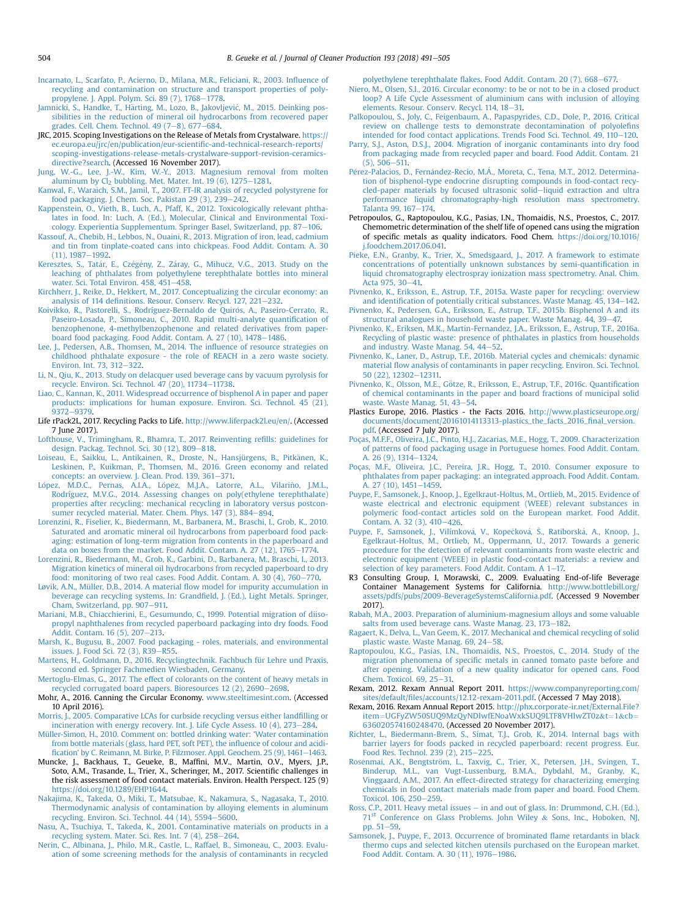- <span id="page-13-0"></span>[Incarnato, L., Scarfato, P., Acierno, D., Milana, M.R., Feliciani, R., 2003. In](http://refhub.elsevier.com/S0959-6526(18)31332-5/sref100)fluence of [recycling and contamination on structure and transport properties of poly](http://refhub.elsevier.com/S0959-6526(18)31332-5/sref100)[propylene. J. Appl. Polym. Sci. 89 \(7\), 1768](http://refhub.elsevier.com/S0959-6526(18)31332-5/sref100)-[1778.](http://refhub.elsevier.com/S0959-6526(18)31332-5/sref100)
- [Jamnicki, S., Handke, T., H](http://refhub.elsevier.com/S0959-6526(18)31332-5/sref101)ärting, M., Lozo, B., Jakovljević, M., 2015. Deinking pos[sibilities in the reduction of mineral oil hydrocarbons from recovered paper](http://refhub.elsevier.com/S0959-6526(18)31332-5/sref101) [grades. Cell. Chem. Technol. 49 \(7](http://refhub.elsevier.com/S0959-6526(18)31332-5/sref101)–[8\), 677](http://refhub.elsevier.com/S0959-6526(18)31332-5/sref101)–[684](http://refhub.elsevier.com/S0959-6526(18)31332-5/sref101).
- JRC, 2015. Scoping Investigations on the Release of Metals from Crystalware. [https://](https://ec.europa.eu/jrc/en/publication/eur-scientific-and-technical-research-reports/scoping-investigations-release-metals-crystalware-support-revision-ceramics-directive?search) [ec.europa.eu/jrc/en/publication/eur-scienti](https://ec.europa.eu/jrc/en/publication/eur-scientific-and-technical-research-reports/scoping-investigations-release-metals-crystalware-support-revision-ceramics-directive?search)fic-and-technical-research-reports/ [scoping-investigations-release-metals-crystalware-support-revision-ceramics](https://ec.europa.eu/jrc/en/publication/eur-scientific-and-technical-research-reports/scoping-investigations-release-metals-crystalware-support-revision-ceramics-directive?search)[directive?search](https://ec.europa.eu/jrc/en/publication/eur-scientific-and-technical-research-reports/scoping-investigations-release-metals-crystalware-support-revision-ceramics-directive?search). (Accessed 16 November 2017).
- [Jung, W.-G., Lee, J.-W., Kim, W.-Y., 2013. Magnesium removal from molten](http://refhub.elsevier.com/S0959-6526(18)31332-5/sref103) aluminum by Cl<sub>2</sub> [bubbling. Met. Mater. Int. 19 \(6\), 1275](http://refhub.elsevier.com/S0959-6526(18)31332-5/sref103)–[1281.](http://refhub.elsevier.com/S0959-6526(18)31332-5/sref103)
- [Kanwal, F., Waraich, S.M., Jamil, T., 2007. FT-IR analysis of recycled polystyrene for](http://refhub.elsevier.com/S0959-6526(18)31332-5/sref104) food packaging. J. Chem. Soc. Pakistan  $29(3)$ ,  $239-242$  $239-242$ .
- [Kappenstein, O., Vieth, B., Luch, A., Pfaff, K., 2012. Toxicologically relevant phtha](http://refhub.elsevier.com/S0959-6526(18)31332-5/sref105)[lates in food. In: Luch, A. \(Ed.\), Molecular, Clinical and Environmental Toxi](http://refhub.elsevier.com/S0959-6526(18)31332-5/sref105)[cology. Experientia Supplementum. Springer Basel, Switzerland, pp. 87](http://refhub.elsevier.com/S0959-6526(18)31332-5/sref105)–[106](http://refhub.elsevier.com/S0959-6526(18)31332-5/sref105).
- [Kassouf, A., Chebib, H., Lebbos, N., Ouaini, R., 2013. Migration of iron, lead, cadmium](http://refhub.elsevier.com/S0959-6526(18)31332-5/sref106) [and tin from tinplate-coated cans into chickpeas. Food Addit. Contam. A. 30](http://refhub.elsevier.com/S0959-6526(18)31332-5/sref106)  $(11)$ ,  $1987 - 1992$  $1987 - 1992$ .
- [Keresztes, S., Tat](http://refhub.elsevier.com/S0959-6526(18)31332-5/sref107)á[r, E., Cz](http://refhub.elsevier.com/S0959-6526(18)31332-5/sref107)é[g](http://refhub.elsevier.com/S0959-6526(18)31332-5/sref107)é[ny, Z., Z](http://refhub.elsevier.com/S0959-6526(18)31332-5/sref107)áray, G., Mihucz, V.G., 2013. Study on the [leaching of phthalates from polyethylene terephthalate bottles into mineral](http://refhub.elsevier.com/S0959-6526(18)31332-5/sref107) water. Sci. Total Environ.  $458, 451-458$  $458, 451-458$ .
- [Kirchherr, J., Reike, D., Hekkert, M., 2017. Conceptualizing the circular economy: an](http://refhub.elsevier.com/S0959-6526(18)31332-5/sref108) analysis of 114 defi[nitions. Resour. Conserv. Recycl. 127, 221](http://refhub.elsevier.com/S0959-6526(18)31332-5/sref108)-[232.](http://refhub.elsevier.com/S0959-6526(18)31332-5/sref108)
- Koivikko, R., Pastorelli, S., Rodríguez-Bernaldo de Quirós, A., Paseiro-Cerrato, R., [Paseiro-Losada, P., Simoneau, C., 2010. Rapid multi-analyte quanti](http://refhub.elsevier.com/S0959-6526(18)31332-5/sref109)fication of [benzophenone, 4-methylbenzophenone and related derivatives from paper](http://refhub.elsevier.com/S0959-6526(18)31332-5/sref109)[board food packaging. Food Addit. Contam. A. 27 \(10\), 1478](http://refhub.elsevier.com/S0959-6526(18)31332-5/sref109)-[1486](http://refhub.elsevier.com/S0959-6526(18)31332-5/sref109).
- [Lee, J., Pedersen, A.B., Thomsen, M., 2014. The in](http://refhub.elsevier.com/S0959-6526(18)31332-5/sref110)fluence of resource strategies on [childhood phthalate exposure - the role of REACH in a zero waste society.](http://refhub.elsevier.com/S0959-6526(18)31332-5/sref110) [Environ. Int. 73, 312](http://refhub.elsevier.com/S0959-6526(18)31332-5/sref110)-[322.](http://refhub.elsevier.com/S0959-6526(18)31332-5/sref110)
- [Li, N., Qiu, K., 2013. Study on delacquer used beverage cans by vacuum pyrolysis for](http://refhub.elsevier.com/S0959-6526(18)31332-5/sref111) [recycle. Environ. Sci. Technol. 47 \(20\), 11734](http://refhub.elsevier.com/S0959-6526(18)31332-5/sref111)-[11738](http://refhub.elsevier.com/S0959-6526(18)31332-5/sref111).
- [Liao, C., Kannan, K., 2011. Widespread occurrence of bisphenol A in paper and paper](http://refhub.elsevier.com/S0959-6526(18)31332-5/sref112) [products: implications for human exposure. Environ. Sci. Technol. 45 \(21\),](http://refhub.elsevier.com/S0959-6526(18)31332-5/sref112) [9372](http://refhub.elsevier.com/S0959-6526(18)31332-5/sref112)-9379
- Life rPack2L, 2017. Recycling Packs to Life. [http://www.liferpack2l.eu/en/.](http://www.liferpack2l.eu/en/) (Accessed 7 June 2017).
- [Lofthouse, V., Trimingham, R., Bhamra, T., 2017. Reinventing re](http://refhub.elsevier.com/S0959-6526(18)31332-5/sref114)fills: guidelines for [design. Packag. Technol. Sci. 30 \(12\), 809](http://refhub.elsevier.com/S0959-6526(18)31332-5/sref114)-[818](http://refhub.elsevier.com/S0959-6526(18)31332-5/sref114).
- [Loiseau, E., Saikku, L., Antikainen, R., Droste, N., Hansjürgens, B., Pitk](http://refhub.elsevier.com/S0959-6526(18)31332-5/sref115)ä[nen, K.,](http://refhub.elsevier.com/S0959-6526(18)31332-5/sref115) [Leskinen, P., Kuikman, P., Thomsen, M., 2016. Green economy and related](http://refhub.elsevier.com/S0959-6526(18)31332-5/sref115) [concepts: an overview. J. Clean. Prod. 139, 361](http://refhub.elsevier.com/S0959-6526(18)31332-5/sref115)-[371.](http://refhub.elsevier.com/S0959-6526(18)31332-5/sref115)
- [L](http://refhub.elsevier.com/S0959-6526(18)31332-5/sref116)ó[pez, M.D.C., Pernas, A.I.A., L](http://refhub.elsevier.com/S0959-6526(18)31332-5/sref116)ópez, M.J.A., Latorre, A.L., Vilariñ[o, J.M.L.,](http://refhub.elsevier.com/S0959-6526(18)31332-5/sref116) [Rodríguez, M.V.G., 2014. Assessing changes on poly\(ethylene terephthalate\)](http://refhub.elsevier.com/S0959-6526(18)31332-5/sref116) [properties after recycling: mechanical recycling in laboratory versus postcon](http://refhub.elsevier.com/S0959-6526(18)31332-5/sref116)[sumer recycled material. Mater. Chem. Phys. 147 \(3\), 884](http://refhub.elsevier.com/S0959-6526(18)31332-5/sref116)-[894](http://refhub.elsevier.com/S0959-6526(18)31332-5/sref116).
- [Lorenzini, R., Fiselier, K., Biedermann, M., Barbanera, M., Braschi, I., Grob, K., 2010.](http://refhub.elsevier.com/S0959-6526(18)31332-5/sref117) [Saturated and aromatic mineral oil hydrocarbons from paperboard food pack](http://refhub.elsevier.com/S0959-6526(18)31332-5/sref117)[aging: estimation of long-term migration from contents in the paperboard and](http://refhub.elsevier.com/S0959-6526(18)31332-5/sref117) [data on boxes from the market. Food Addit. Contam. A. 27 \(12\), 1765](http://refhub.elsevier.com/S0959-6526(18)31332-5/sref117)-[1774](http://refhub.elsevier.com/S0959-6526(18)31332-5/sref117).
- [Lorenzini, R., Biedermann, M., Grob, K., Garbini, D., Barbanera, M., Braschi, I., 2013.](http://refhub.elsevier.com/S0959-6526(18)31332-5/sref118) [Migration kinetics of mineral oil hydrocarbons from recycled paperboard to dry](http://refhub.elsevier.com/S0959-6526(18)31332-5/sref118) food: monitoring of two real cases. Food Addit. Contam. A.  $30$  (4), 760-[770](http://refhub.elsevier.com/S0959-6526(18)31332-5/sref118).
- [L](http://refhub.elsevier.com/S0959-6526(18)31332-5/sref119)øvik, A.N., Müller, D.B., 2014. A material fl[ow model for impurity accumulation in](http://refhub.elsevier.com/S0959-6526(18)31332-5/sref119) [beverage can recycling systems. In: Grand](http://refhub.elsevier.com/S0959-6526(18)31332-5/sref119)field, J. (Ed.), Light Metals. Springer, [Cham, Switzerland, pp. 907](http://refhub.elsevier.com/S0959-6526(18)31332-5/sref119)-[911.](http://refhub.elsevier.com/S0959-6526(18)31332-5/sref119)
- [Mariani, M.B., Chiacchierini, E., Gesumundo, C., 1999. Potential migration of diiso](http://refhub.elsevier.com/S0959-6526(18)31332-5/sref120)[propyl naphthalenes from recycled paperboard packaging into dry foods. Food](http://refhub.elsevier.com/S0959-6526(18)31332-5/sref120) [Addit. Contam. 16 \(5\), 207](http://refhub.elsevier.com/S0959-6526(18)31332-5/sref120)-[213](http://refhub.elsevier.com/S0959-6526(18)31332-5/sref120).
- [Marsh, K., Bugusu, B., 2007. Food packaging roles, materials, and environmental](http://refhub.elsevier.com/S0959-6526(18)31332-5/sref121) [issues. J. Food Sci. 72 \(3\), R39](http://refhub.elsevier.com/S0959-6526(18)31332-5/sref121)-[R55.](http://refhub.elsevier.com/S0959-6526(18)31332-5/sref121)
- [Martens, H., Goldmann, D., 2016. Recyclingtechnik. Fachbuch für Lehre und Praxis,](http://refhub.elsevier.com/S0959-6526(18)31332-5/sref122) [second ed. Springer Fachmedien Wiesbaden, Germany.](http://refhub.elsevier.com/S0959-6526(18)31332-5/sref122)
- [Mertoglu-Elmas, G., 2017. The effect of colorants on the content of heavy metals in](http://refhub.elsevier.com/S0959-6526(18)31332-5/sref123) [recycled corrugated board papers. Bioresources 12 \(2\), 2690](http://refhub.elsevier.com/S0959-6526(18)31332-5/sref123)-[2698.](http://refhub.elsevier.com/S0959-6526(18)31332-5/sref123)
- Mohr, A., 2016. Canning the Circular Economy. [www.steeltimesint.com](http://www.steeltimesint.com). (Accessed 10 April 2016).
- [Morris, J., 2005. Comparative LCAs for curbside recycling versus either land](http://refhub.elsevier.com/S0959-6526(18)31332-5/sref125)filling or [incineration with energy recovery. Int. J. Life Cycle Assess. 10 \(4\), 273](http://refhub.elsevier.com/S0959-6526(18)31332-5/sref125)-[284.](http://refhub.elsevier.com/S0959-6526(18)31332-5/sref125)
- [Müller-Simon, H., 2010. Comment on: bottled drinking water: 'Water contamination](http://refhub.elsevier.com/S0959-6526(18)31332-5/sref126) [from bottle materials \(glass, hard PET, soft PET\), the in](http://refhub.elsevier.com/S0959-6526(18)31332-5/sref126)fluence of colour and acidifi[cation' by C. Reimann, M. Birke, P. Filzmoser. Appl. Geochem. 25 \(9\), 1461](http://refhub.elsevier.com/S0959-6526(18)31332-5/sref126)-[1463.](http://refhub.elsevier.com/S0959-6526(18)31332-5/sref126)
- Muncke, J., Backhaus, T., Geueke, B., Maffini, M.V., Martin, O.V., Myers, J.P., Soto, A.M., Trasande, L., Trier, X., Scheringer, M., 2017. Scientific challenges in the risk assessment of food contact materials. Environ. Health Perspect. 125 (9) <https://doi.org/10.1289/EHP1644>.
- [Nakajima, K., Takeda, O., Miki, T., Matsubae, K., Nakamura, S., Nagasaka, T., 2010.](http://refhub.elsevier.com/S0959-6526(18)31332-5/sref129) [Thermodynamic analysis of contamination by alloying elements in aluminum](http://refhub.elsevier.com/S0959-6526(18)31332-5/sref129) recycling. Environ. Sci. Technol.  $44$  (14),  $5594 - 5600$ .
- [Nasu, A., Tsuchiya, T., Takeda, K., 2001. Contaminative materials on products in a](http://refhub.elsevier.com/S0959-6526(18)31332-5/sref130) recycling system. Mater. Sci. Res. Int.  $7(4)$ ,  $258-264$  $258-264$ .
- [Nerin, C., Albinana, J., Philo, M.R., Castle, L., Raffael, B., Simoneau, C., 2003. Evalu](http://refhub.elsevier.com/S0959-6526(18)31332-5/sref131)[ation of some screening methods for the analysis of contaminants in recycled](http://refhub.elsevier.com/S0959-6526(18)31332-5/sref131)

polyethylene terephthalate fl[akes. Food Addit. Contam. 20 \(7\), 668](http://refhub.elsevier.com/S0959-6526(18)31332-5/sref131)-[677.](http://refhub.elsevier.com/S0959-6526(18)31332-5/sref131)

- [Niero, M., Olsen, S.I., 2016. Circular economy: to be or not to be in a closed product](http://refhub.elsevier.com/S0959-6526(18)31332-5/sref132) [loop? A Life Cycle Assessment of aluminium cans with inclusion of alloying](http://refhub.elsevier.com/S0959-6526(18)31332-5/sref132) [elements. Resour. Conserv. Recycl. 114, 18](http://refhub.elsevier.com/S0959-6526(18)31332-5/sref132)-[31.](http://refhub.elsevier.com/S0959-6526(18)31332-5/sref132)
- [Palkopoulou, S., Joly, C., Feigenbaum, A., Papaspyrides, C.D., Dole, P., 2016. Critical](http://refhub.elsevier.com/S0959-6526(18)31332-5/sref134) [review on challenge tests to demonstrate decontamination of polyole](http://refhub.elsevier.com/S0959-6526(18)31332-5/sref134)fins intended for food contact applications. Trends Food Sci. Technol.  $49, 110-120$  $49, 110-120$ .
- [Parry, S.J., Aston, D.S.J., 2004. Migration of inorganic contaminants into dry food](http://refhub.elsevier.com/S0959-6526(18)31332-5/sref135) [from packaging made from recycled paper and board. Food Addit. Contam. 21](http://refhub.elsevier.com/S0959-6526(18)31332-5/sref135)  $(5)$ ,  $506 - 511$ .
- Pérez-Palacios, D., Ferná[ndez-Recio, M.](http://refhub.elsevier.com/S0959-6526(18)31332-5/sref136)Á., Moreta, C., Tena, M.T., 2012. Determina[tion of bisphenol-type endocrine disrupting compounds in food-contact recy](http://refhub.elsevier.com/S0959-6526(18)31332-5/sref136)[cled-paper materials by focused ultrasonic solid](http://refhub.elsevier.com/S0959-6526(18)31332-5/sref136)-[liquid extraction and ultra](http://refhub.elsevier.com/S0959-6526(18)31332-5/sref136) [performance liquid chromatography-high resolution mass spectrometry.](http://refhub.elsevier.com/S0959-6526(18)31332-5/sref136) .<br>[Talanta 99, 167](http://refhub.elsevier.com/S0959-6526(18)31332-5/sref136)–[174.](http://refhub.elsevier.com/S0959-6526(18)31332-5/sref136)
- Petropoulos, G., Raptopoulou, K.G., Pasias, I.N., Thomaidis, N.S., Proestos, C., 2017. Chemometric determination of the shelf life of opened cans using the migration of specific metals as quality indicators. Food Chem. [https://doi.org/10.1016/](https://doi.org/10.1016/j.foodchem.2017.06.041) [j.foodchem.2017.06.041.](https://doi.org/10.1016/j.foodchem.2017.06.041)
- [Pieke, E.N., Granby, K., Trier, X., Smedsgaard, J., 2017. A framework to estimate](http://refhub.elsevier.com/S0959-6526(18)31332-5/sref138) [concentrations of potentially unknown substances by semi-quanti](http://refhub.elsevier.com/S0959-6526(18)31332-5/sref138)fication in [liquid chromatography electrospray ionization mass spectrometry. Anal. Chim.](http://refhub.elsevier.com/S0959-6526(18)31332-5/sref138) [Acta 975, 30](http://refhub.elsevier.com/S0959-6526(18)31332-5/sref138)-[41.](http://refhub.elsevier.com/S0959-6526(18)31332-5/sref138)
- [Pivnenko, K., Eriksson, E., Astrup, T.F., 2015a. Waste paper for recycling: overview](http://refhub.elsevier.com/S0959-6526(18)31332-5/sref139) and identifi[cation of potentially critical substances. Waste Manag. 45, 134](http://refhub.elsevier.com/S0959-6526(18)31332-5/sref139)–[142](http://refhub.elsevier.com/S0959-6526(18)31332-5/sref139).<br>[Pivnenko, K., Pedersen, G.A., Eriksson, E., Astrup, T.F., 2015b. Bisphenol A and its](http://refhub.elsevier.com/S0959-6526(18)31332-5/sref140)
- 
- [structural analogues in household waste paper. Waste Manag. 44, 39](http://refhub.elsevier.com/S0959-6526(18)31332-5/sref140)–[47.](http://refhub.elsevier.com/S0959-6526(18)31332-5/sref140)<br>[Pivnenko, K., Eriksen, M.K., Martin-Fernandez, J.A., Eriksson, E., Astrup, T.F., 2016a.](http://refhub.elsevier.com/S0959-6526(18)31332-5/sref141) [Recycling of plastic waste: presence of phthalates in plastics from households](http://refhub.elsevier.com/S0959-6526(18)31332-5/sref141) [and industry. Waste Manag. 54, 44](http://refhub.elsevier.com/S0959-6526(18)31332-5/sref141)-[52.](http://refhub.elsevier.com/S0959-6526(18)31332-5/sref141)
- [Pivnenko, K., Laner, D., Astrup, T.F., 2016b. Material cycles and chemicals: dynamic](http://refhub.elsevier.com/S0959-6526(18)31332-5/sref142) material fl[ow analysis of contaminants in paper recycling. Environ. Sci. Technol.](http://refhub.elsevier.com/S0959-6526(18)31332-5/sref142) [50 \(22\), 12302](http://refhub.elsevier.com/S0959-6526(18)31332-5/sref142)-[12311.](http://refhub.elsevier.com/S0959-6526(18)31332-5/sref142)
- Pivnenko, K., Olsson, M.E., Götze, R., Eriksson, E., Astrup, T.F., 2016c. Quantification [of chemical contaminants in the paper and board fractions of municipal solid](http://refhub.elsevier.com/S0959-6526(18)31332-5/sref143) [waste. Waste Manag. 51, 43](http://refhub.elsevier.com/S0959-6526(18)31332-5/sref143)-[54.](http://refhub.elsevier.com/S0959-6526(18)31332-5/sref143)
- Plastics Europe, 2016. Plastics the Facts 2016. [http://www.plasticseurope.org/](http://www.plasticseurope.org/documents/document/20161014113313-plastics_the_facts_2016_final_version.pdf) [documents/document/20161014113313-plastics\\_the\\_facts\\_2016\\_](http://www.plasticseurope.org/documents/document/20161014113313-plastics_the_facts_2016_final_version.pdf)final\_version. [pdf.](http://www.plasticseurope.org/documents/document/20161014113313-plastics_the_facts_2016_final_version.pdf) (Accessed 7 July 2017).
- [Poças, M.F.F., Oliveira, J.C., Pinto, H.J., Zacarias, M.E., Hogg, T., 2009. Characterization](http://refhub.elsevier.com/S0959-6526(18)31332-5/sref145) [of patterns of food packaging usage in Portuguese homes. Food Addit. Contam.](http://refhub.elsevier.com/S0959-6526(18)31332-5/sref145) [A. 26 \(9\), 1314](http://refhub.elsevier.com/S0959-6526(18)31332-5/sref145)-[1324](http://refhub.elsevier.com/S0959-6526(18)31332-5/sref145).
- [Poças, M.F., Oliveira, J.C., Pereira, J.R., Hogg, T., 2010. Consumer exposure to](http://refhub.elsevier.com/S0959-6526(18)31332-5/sref146) [phthalates from paper packaging: an integrated approach. Food Addit. Contam.](http://refhub.elsevier.com/S0959-6526(18)31332-5/sref146) [A. 27 \(10\), 1451](http://refhub.elsevier.com/S0959-6526(18)31332-5/sref146)-[1459](http://refhub.elsevier.com/S0959-6526(18)31332-5/sref146).
- [Puype, F., Samsonek, J., Knoop, J., Egelkraut-Holtus, M., Ortlieb, M., 2015. Evidence of](http://refhub.elsevier.com/S0959-6526(18)31332-5/sref147) [waste electrical and electronic equipment \(WEEE\) relevant substances in](http://refhub.elsevier.com/S0959-6526(18)31332-5/sref147) [polymeric food-contact articles sold on the European market. Food Addit.](http://refhub.elsevier.com/S0959-6526(18)31332-5/sref147) [Contam. A. 32 \(3\), 410](http://refhub.elsevier.com/S0959-6526(18)31332-5/sref147)-[426](http://refhub.elsevier.com/S0959-6526(18)31332-5/sref147).
- [Puype, F., Samsonek, J., Vilímkov](http://refhub.elsevier.com/S0959-6526(18)31332-5/sref148)á[, V., Kope](http://refhub.elsevier.com/S0959-6526(18)31332-5/sref148)čková, Š[., Ratiborsk](http://refhub.elsevier.com/S0959-6526(18)31332-5/sref148)á, A., Knoop, J., [Egelkraut-Holtus, M., Ortlieb, M., Oppermann, U., 2017. Towards a generic](http://refhub.elsevier.com/S0959-6526(18)31332-5/sref148) [procedure for the detection of relevant contaminants from waste electric and](http://refhub.elsevier.com/S0959-6526(18)31332-5/sref148) [electronic equipment \(WEEE\) in plastic food-contact materials: a review and](http://refhub.elsevier.com/S0959-6526(18)31332-5/sref148) selection of key parameters. Food Addit. Contam. A  $1-17$ .
- R3 Consulting Group, I, Morawski, C., 2009. Evaluating End-of-life Beverage Container Management Systems for California. [http://www.bottlebill.org/](http://www.bottlebill.org/assets/pdfs/pubs/2009-BeverageSystemsCalifornia.pdf) [assets/pdfs/pubs/2009-BeverageSystemsCalifornia.pdf.](http://www.bottlebill.org/assets/pdfs/pubs/2009-BeverageSystemsCalifornia.pdf) (Accessed 9 November 2017).
- [Rabah, M.A., 2003. Preparation of aluminium-magnesium alloys and some valuable](http://refhub.elsevier.com/S0959-6526(18)31332-5/sref150) [salts from used beverage cans. Waste Manag. 23, 173](http://refhub.elsevier.com/S0959-6526(18)31332-5/sref150)-[182](http://refhub.elsevier.com/S0959-6526(18)31332-5/sref150).
- [Ragaert, K., Delva, L., Van Geem, K., 2017. Mechanical and chemical recycling of solid](http://refhub.elsevier.com/S0959-6526(18)31332-5/sref151) [plastic waste. Waste Manag. 69, 24](http://refhub.elsevier.com/S0959-6526(18)31332-5/sref151)-[58](http://refhub.elsevier.com/S0959-6526(18)31332-5/sref151).
- [Raptopoulou, K.G., Pasias, I.N., Thomaidis, N.S., Proestos, C., 2014. Study of the](http://refhub.elsevier.com/S0959-6526(18)31332-5/sref152) migration phenomena of specifi[c metals in canned tomato paste before and](http://refhub.elsevier.com/S0959-6526(18)31332-5/sref152) [after opening. Validation of a new quality indicator for opened cans. Food](http://refhub.elsevier.com/S0959-6526(18)31332-5/sref152) [Chem. Toxicol. 69, 25](http://refhub.elsevier.com/S0959-6526(18)31332-5/sref152)-[31.](http://refhub.elsevier.com/S0959-6526(18)31332-5/sref152)
- Rexam, 2012. Rexam Annual Report 2011. [https://www.companyreporting.com/](https://www.companyreporting.com/sites/default/files/accounts/12.12-rexam-2011.pdf) sites/default/fi[les/accounts/12.12-rexam-2011.pdf.](https://www.companyreporting.com/sites/default/files/accounts/12.12-rexam-2011.pdf) (Accessed 7 May 2018).
- Rexam, 2016. Rexam Annual Report 2015. [http://phx.corporate-ir.net/External.File?](http://phx.corporate-ir.net/External.File?item=UGFyZW50SUQ9MzQyNDIwfENoaWxkSUQ9LTF8VHlwZT0z&t=1&cb=636020574160248470) [item](http://phx.corporate-ir.net/External.File?item=UGFyZW50SUQ9MzQyNDIwfENoaWxkSUQ9LTF8VHlwZT0z&t=1&cb=636020574160248470)=[UGFyZW50SUQ9MzQyNDIwfENoaWxkSUQ9LTF8VHlwZT0z](http://phx.corporate-ir.net/External.File?item=UGFyZW50SUQ9MzQyNDIwfENoaWxkSUQ9LTF8VHlwZT0z&t=1&cb=636020574160248470)&[t](http://phx.corporate-ir.net/External.File?item=UGFyZW50SUQ9MzQyNDIwfENoaWxkSUQ9LTF8VHlwZT0z&t=1&cb=636020574160248470)=[1](http://phx.corporate-ir.net/External.File?item=UGFyZW50SUQ9MzQyNDIwfENoaWxkSUQ9LTF8VHlwZT0z&t=1&cb=636020574160248470)&[cb](http://phx.corporate-ir.net/External.File?item=UGFyZW50SUQ9MzQyNDIwfENoaWxkSUQ9LTF8VHlwZT0z&t=1&cb=636020574160248470)= [636020574160248470.](http://phx.corporate-ir.net/External.File?item=UGFyZW50SUQ9MzQyNDIwfENoaWxkSUQ9LTF8VHlwZT0z&t=1&cb=636020574160248470) (Accessed 20 November 2017).
- [Richter, L., Biedermann-Brem, S., Simat, T.J., Grob, K., 2014. Internal bags with](http://refhub.elsevier.com/S0959-6526(18)31332-5/sref155) [barrier layers for foods packed in recycled paperboard: recent progress. Eur.](http://refhub.elsevier.com/S0959-6526(18)31332-5/sref155) Food Res. Technol. 239  $(2)$ , 215-[225.](http://refhub.elsevier.com/S0959-6526(18)31332-5/sref155)
- [Rosenmai, A.K., Bengtstr](http://refhub.elsevier.com/S0959-6526(18)31332-5/sref157)ö[m, L., Taxvig, C., Trier, X., Petersen, J.H., Svingen, T.,](http://refhub.elsevier.com/S0959-6526(18)31332-5/sref157) [Binderup, M.L., van Vugt-Lussenburg, B.M.A., Dybdahl, M., Granby, K.,](http://refhub.elsevier.com/S0959-6526(18)31332-5/sref157) Vinggaard, A.M., 2017. An effect-directed strategy for characterizin [chemicals in food contact materials made from paper and board. Food Chem.](http://refhub.elsevier.com/S0959-6526(18)31332-5/sref157) [Toxicol. 106, 250](http://refhub.elsevier.com/S0959-6526(18)31332-5/sref157)-[259.](http://refhub.elsevier.com/S0959-6526(18)31332-5/sref157)
- [Ross, C.P., 2011. Heavy metal issues](http://refhub.elsevier.com/S0959-6526(18)31332-5/sref158)  $-$  [in and out of glass. In: Drummond, C.H. \(Ed.\),](http://refhub.elsevier.com/S0959-6526(18)31332-5/sref158) [71](http://refhub.elsevier.com/S0959-6526(18)31332-5/sref158)st [Conference on Glass Problems. John Wiley](http://refhub.elsevier.com/S0959-6526(18)31332-5/sref158) & [Sons, Inc., Hoboken, NJ,](http://refhub.elsevier.com/S0959-6526(18)31332-5/sref158) pp.  $51 - 59$ .
- [Samsonek, J., Puype, F., 2013. Occurrence of brominated](http://refhub.elsevier.com/S0959-6526(18)31332-5/sref160) flame retardants in black [thermo cups and selected kitchen utensils purchased on the European market.](http://refhub.elsevier.com/S0959-6526(18)31332-5/sref160) [Food Addit. Contam. A. 30 \(11\), 1976](http://refhub.elsevier.com/S0959-6526(18)31332-5/sref160)-[1986.](http://refhub.elsevier.com/S0959-6526(18)31332-5/sref160)